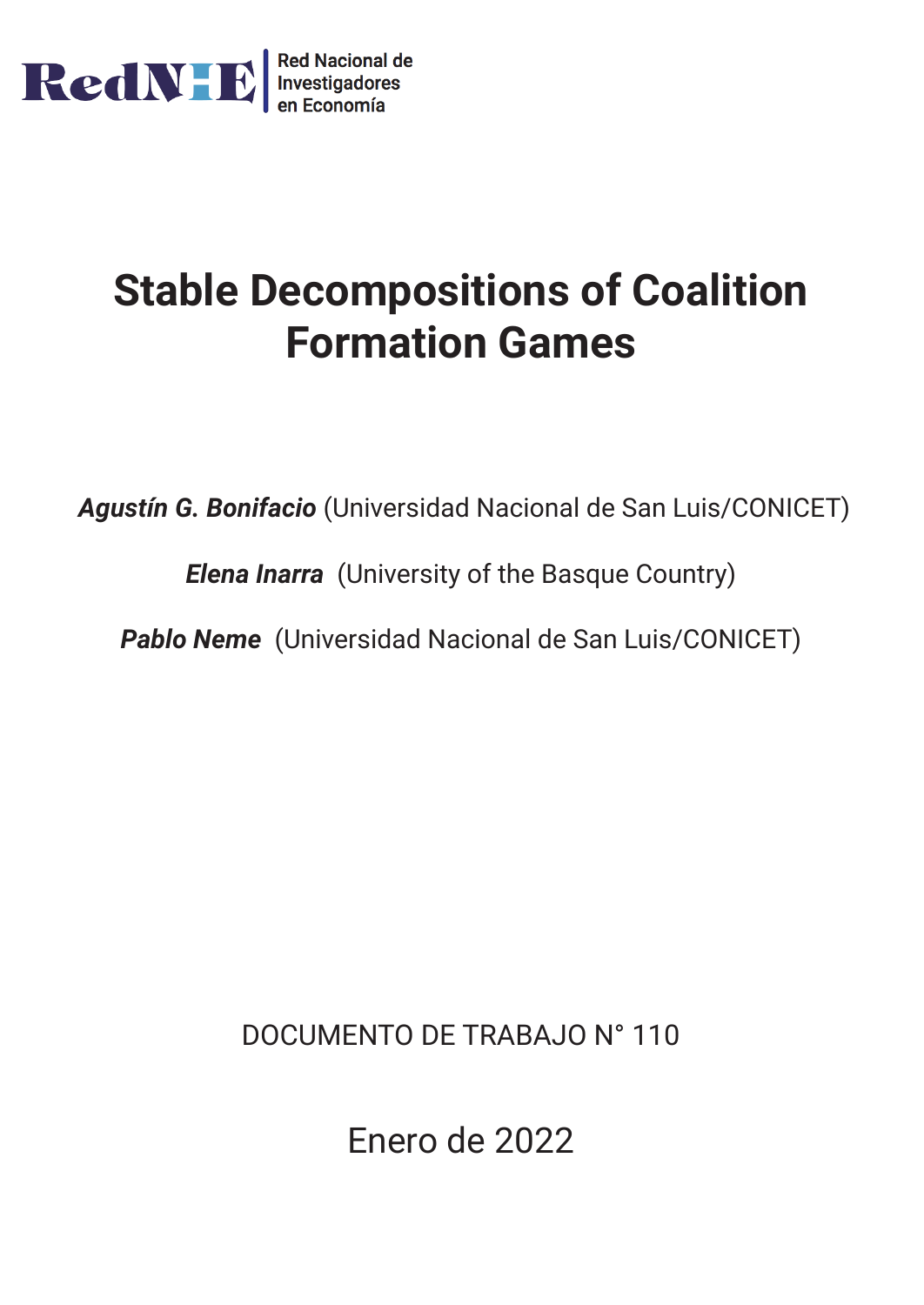

# **Stable Decompositions of Coalition Formation Games**

*Agustín G. Bonifacio* (Universidad Nacional de San Luis/CONICET)

*Elena Inarra* (University of the Basque Country)

*Pablo Neme* (Universidad Nacional de San Luis/CONICET)

DOCUMENTO DE TRABAJO N° 110

Enero de 2022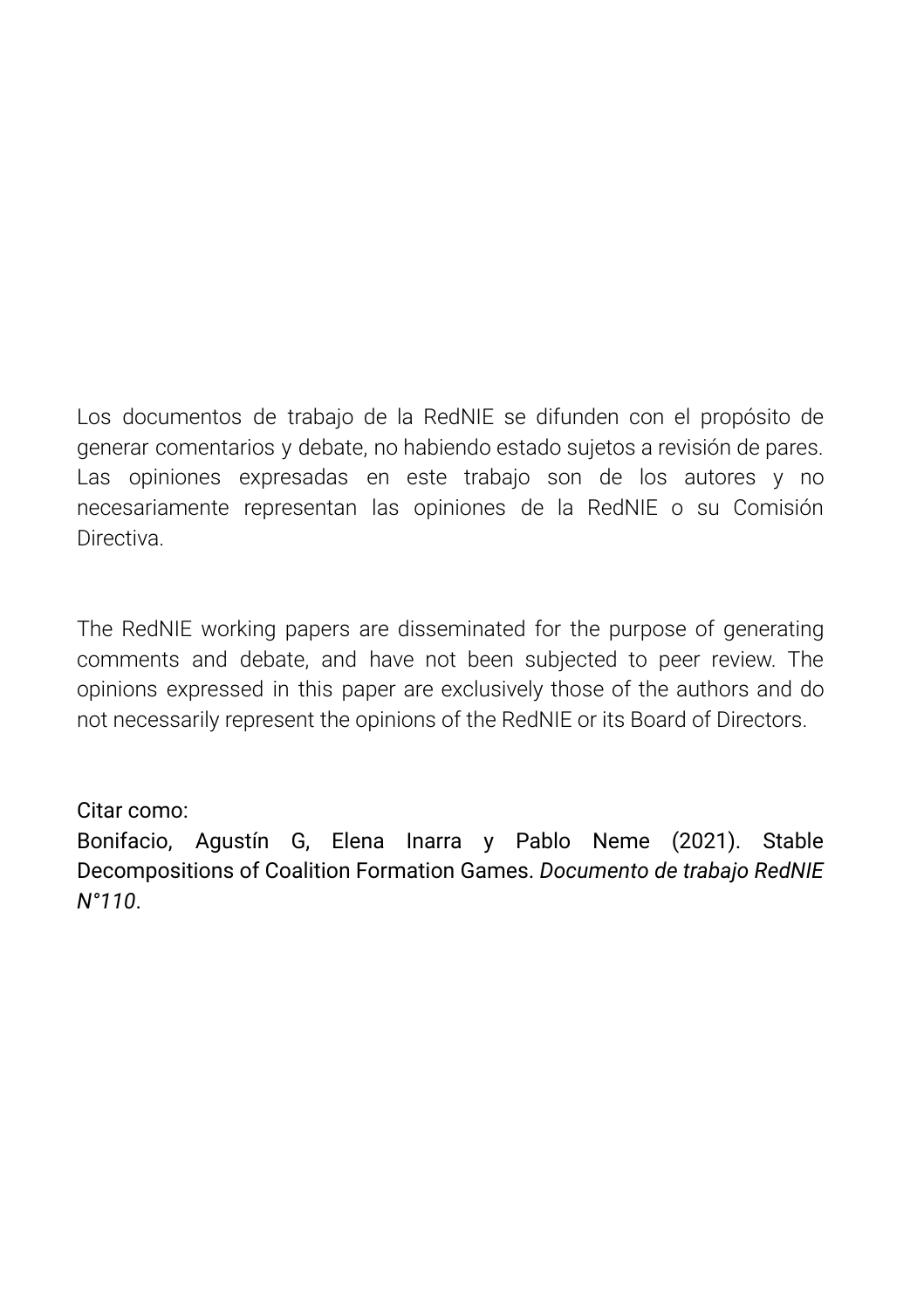Los documentos de trabajo de la RedNIE se difunden con el propósito de generar comentarios y debate, no habiendo estado sujetos a revisión de pares. Las opiniones expresadas en este trabajo son de los autores y no necesariamente representan las opiniones de la RedNIE o su Comisión Directiva.

The RedNIE working papers are disseminated for the purpose of generating comments and debate, and have not been subjected to peer review. The opinions expressed in this paper are exclusively those of the authors and do not necessarily represent the opinions of the RedNIE or its Board of Directors.

Citar como:

Bonifacio, Agustín G, Elena Inarra y Pablo Neme (2021). Stable Decompositions of Coalition Formation Games. *Documento de trabajo RedNIE N°110*.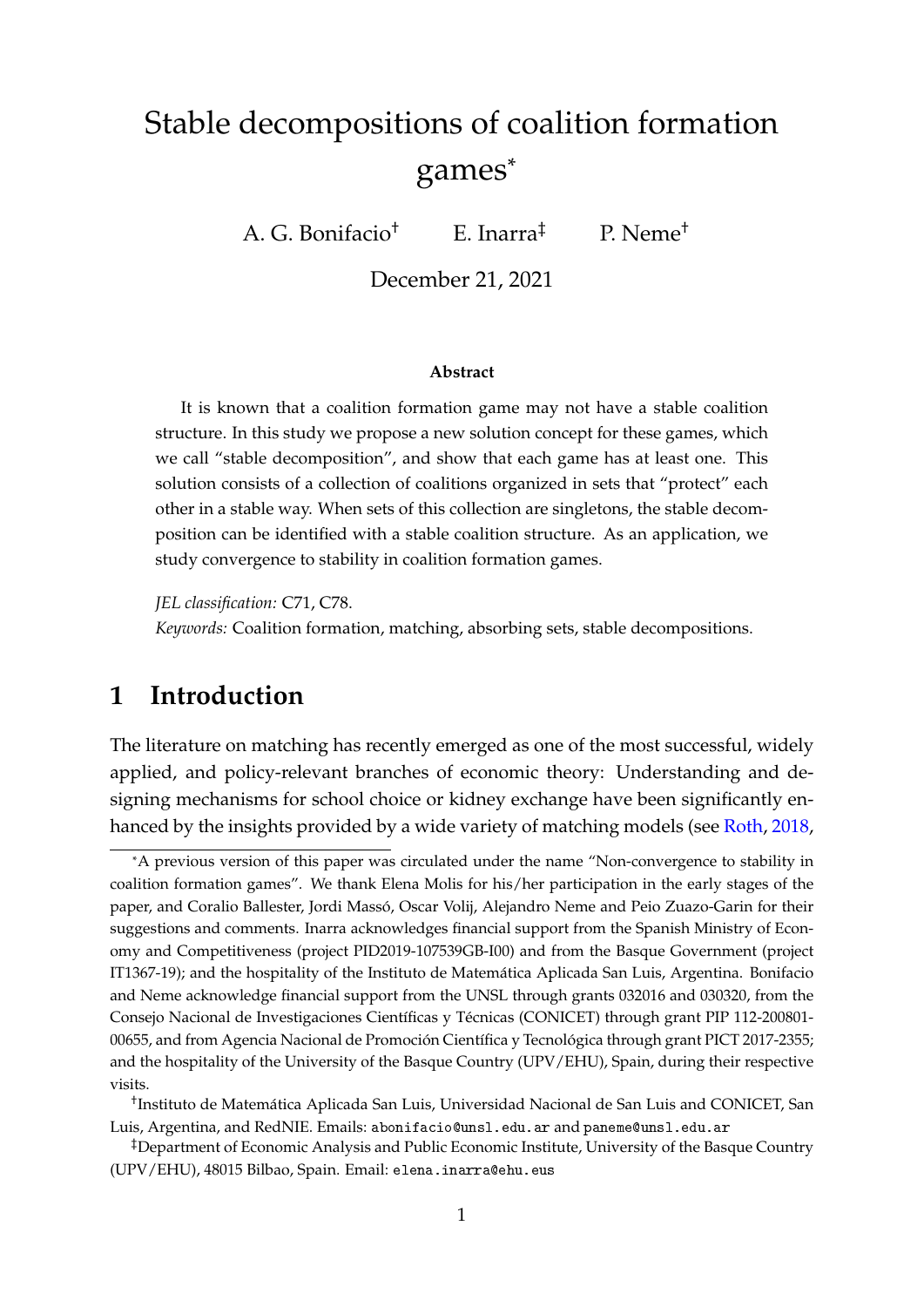## Stable decompositions of coalition formation games\*

A. G. Bonifacio† E. Inarra‡ P. Neme†

December 21, 2021

#### **Abstract**

It is known that a coalition formation game may not have a stable coalition structure. In this study we propose a new solution concept for these games, which we call "stable decomposition", and show that each game has at least one. This solution consists of a collection of coalitions organized in sets that "protect" each other in a stable way. When sets of this collection are singletons, the stable decomposition can be identified with a stable coalition structure. As an application, we study convergence to stability in coalition formation games.

*JEL classification:* C71, C78. *Keywords:* Coalition formation, matching, absorbing sets, stable decompositions.

## **1 Introduction**

The literature on matching has recently emerged as one of the most successful, widely applied, and policy-relevant branches of economic theory: Understanding and designing mechanisms for school choice or kidney exchange have been significantly enhanced by the insights provided by a wide variety of matching models (see [Roth,](#page-27-0) [2018,](#page-27-0)

<sup>\*</sup>A previous version of this paper was circulated under the name "Non-convergence to stability in coalition formation games". We thank Elena Molis for his/her participation in the early stages of the paper, and Coralio Ballester, Jordi Massó, Oscar Volij, Alejandro Neme and Peio Zuazo-Garin for their suggestions and comments. Inarra acknowledges financial support from the Spanish Ministry of Economy and Competitiveness (project PID2019-107539GB-I00) and from the Basque Government (project IT1367-19); and the hospitality of the Instituto de Matemática Aplicada San Luis, Argentina. Bonifacio and Neme acknowledge financial support from the UNSL through grants 032016 and 030320, from the Consejo Nacional de Investigaciones Científicas y Técnicas (CONICET) through grant PIP 112-200801- 00655, and from Agencia Nacional de Promoción Científica y Tecnológica through grant PICT 2017-2355; and the hospitality of the University of the Basque Country (UPV/EHU), Spain, during their respective visits.

<sup>†</sup> Instituto de Matemática Aplicada San Luis, Universidad Nacional de San Luis and CONICET, San Luis, Argentina, and RedNIE. Emails: abonifacio@unsl.edu.ar and paneme@unsl.edu.ar

<sup>‡</sup>Department of Economic Analysis and Public Economic Institute, University of the Basque Country (UPV/EHU), 48015 Bilbao, Spain. Email: elena.inarra@ehu.eus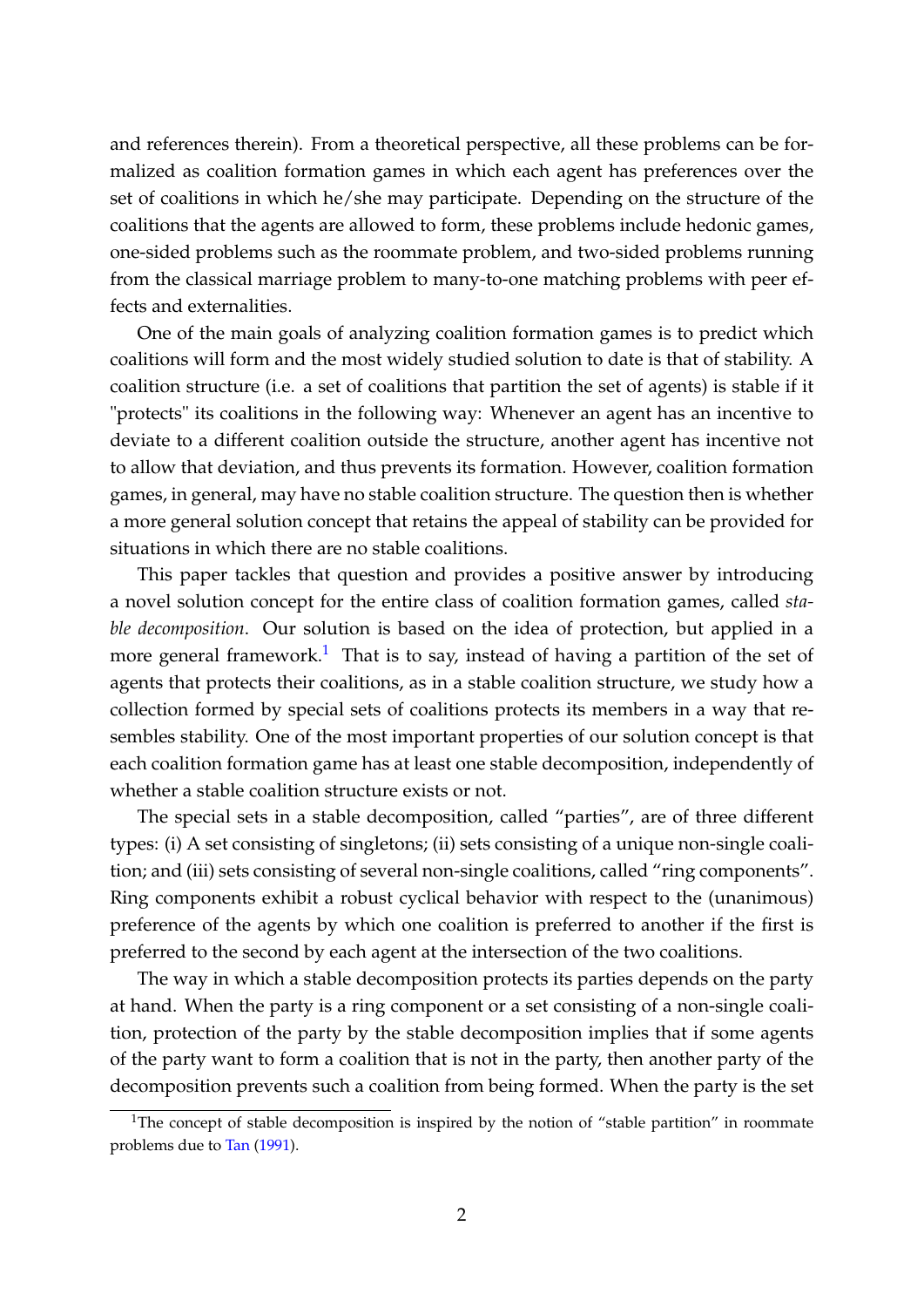and references therein). From a theoretical perspective, all these problems can be formalized as coalition formation games in which each agent has preferences over the set of coalitions in which he/she may participate. Depending on the structure of the coalitions that the agents are allowed to form, these problems include hedonic games, one-sided problems such as the roommate problem, and two-sided problems running from the classical marriage problem to many-to-one matching problems with peer effects and externalities.

One of the main goals of analyzing coalition formation games is to predict which coalitions will form and the most widely studied solution to date is that of stability. A coalition structure (i.e. a set of coalitions that partition the set of agents) is stable if it "protects" its coalitions in the following way: Whenever an agent has an incentive to deviate to a different coalition outside the structure, another agent has incentive not to allow that deviation, and thus prevents its formation. However, coalition formation games, in general, may have no stable coalition structure. The question then is whether a more general solution concept that retains the appeal of stability can be provided for situations in which there are no stable coalitions.

This paper tackles that question and provides a positive answer by introducing a novel solution concept for the entire class of coalition formation games, called *stable decomposition*. Our solution is based on the idea of protection, but applied in a more general framework.<sup>[1](#page-3-0)</sup> That is to say, instead of having a partition of the set of agents that protects their coalitions, as in a stable coalition structure, we study how a collection formed by special sets of coalitions protects its members in a way that resembles stability. One of the most important properties of our solution concept is that each coalition formation game has at least one stable decomposition, independently of whether a stable coalition structure exists or not.

The special sets in a stable decomposition, called "parties", are of three different types: (i) A set consisting of singletons; (ii) sets consisting of a unique non-single coalition; and (iii) sets consisting of several non-single coalitions, called "ring components". Ring components exhibit a robust cyclical behavior with respect to the (unanimous) preference of the agents by which one coalition is preferred to another if the first is preferred to the second by each agent at the intersection of the two coalitions.

The way in which a stable decomposition protects its parties depends on the party at hand. When the party is a ring component or a set consisting of a non-single coalition, protection of the party by the stable decomposition implies that if some agents of the party want to form a coalition that is not in the party, then another party of the decomposition prevents such a coalition from being formed. When the party is the set

<span id="page-3-0"></span><sup>&</sup>lt;sup>1</sup>The concept of stable decomposition is inspired by the notion of "stable partition" in roommate problems due to [Tan](#page-28-0) [\(1991\)](#page-28-0).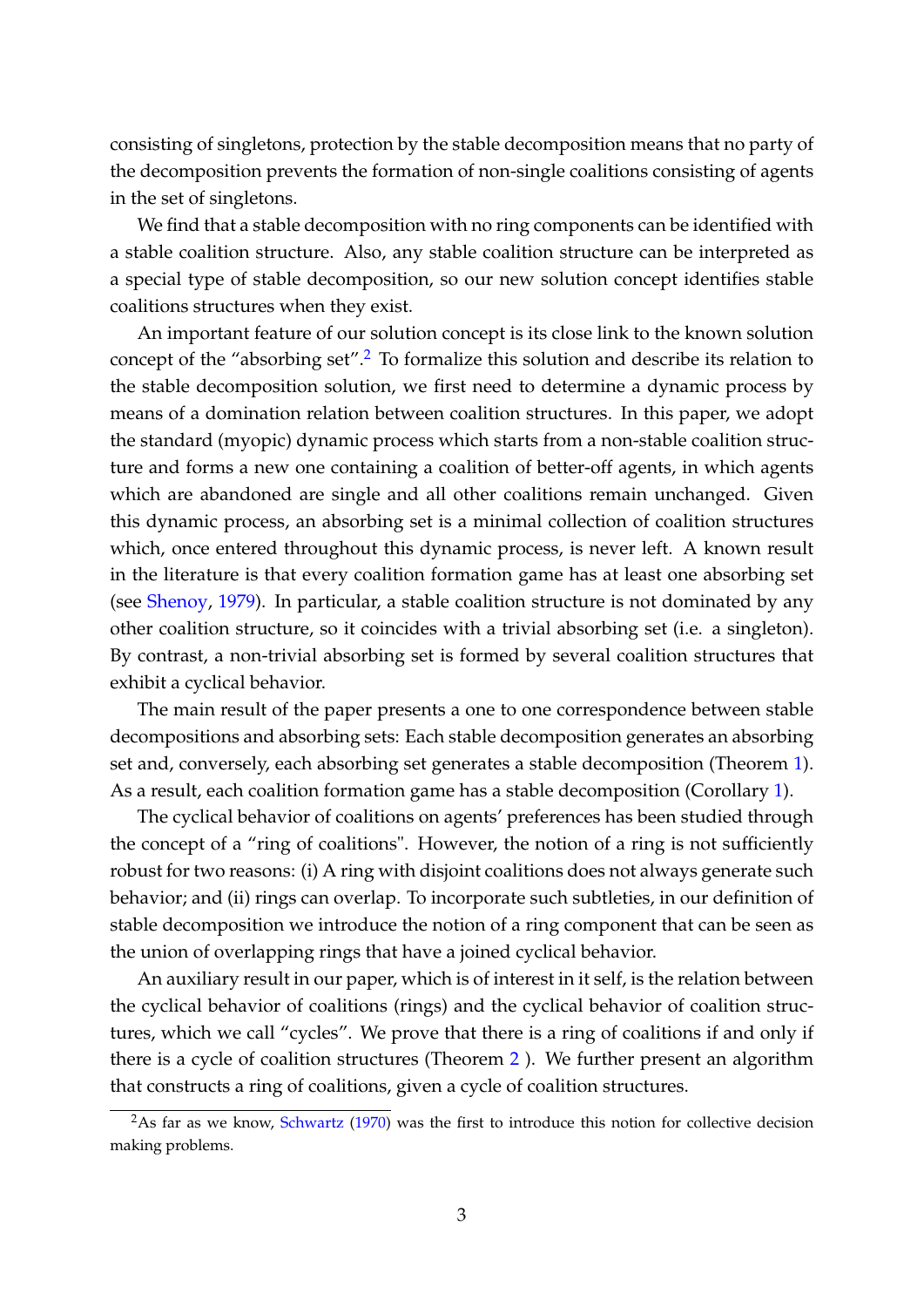consisting of singletons, protection by the stable decomposition means that no party of the decomposition prevents the formation of non-single coalitions consisting of agents in the set of singletons.

We find that a stable decomposition with no ring components can be identified with a stable coalition structure. Also, any stable coalition structure can be interpreted as a special type of stable decomposition, so our new solution concept identifies stable coalitions structures when they exist.

An important feature of our solution concept is its close link to the known solution concept of the "absorbing set".<sup>[2](#page-4-0)</sup> To formalize this solution and describe its relation to the stable decomposition solution, we first need to determine a dynamic process by means of a domination relation between coalition structures. In this paper, we adopt the standard (myopic) dynamic process which starts from a non-stable coalition structure and forms a new one containing a coalition of better-off agents, in which agents which are abandoned are single and all other coalitions remain unchanged. Given this dynamic process, an absorbing set is a minimal collection of coalition structures which, once entered throughout this dynamic process, is never left. A known result in the literature is that every coalition formation game has at least one absorbing set (see [Shenoy,](#page-28-1) [1979\)](#page-28-1). In particular, a stable coalition structure is not dominated by any other coalition structure, so it coincides with a trivial absorbing set (i.e. a singleton). By contrast, a non-trivial absorbing set is formed by several coalition structures that exhibit a cyclical behavior.

The main result of the paper presents a one to one correspondence between stable decompositions and absorbing sets: Each stable decomposition generates an absorbing set and, conversely, each absorbing set generates a stable decomposition (Theorem [1\)](#page-14-0). As a result, each coalition formation game has a stable decomposition (Corollary [1\)](#page-14-1).

The cyclical behavior of coalitions on agents' preferences has been studied through the concept of a "ring of coalitions". However, the notion of a ring is not sufficiently robust for two reasons: (i) A ring with disjoint coalitions does not always generate such behavior; and (ii) rings can overlap. To incorporate such subtleties, in our definition of stable decomposition we introduce the notion of a ring component that can be seen as the union of overlapping rings that have a joined cyclical behavior.

An auxiliary result in our paper, which is of interest in it self, is the relation between the cyclical behavior of coalitions (rings) and the cyclical behavior of coalition structures, which we call "cycles". We prove that there is a ring of coalitions if and only if there is a cycle of coalition structures (Theorem [2](#page-17-0) ). We further present an algorithm that constructs a ring of coalitions, given a cycle of coalition structures.

<span id="page-4-0"></span> $2$ As far as we know, [Schwartz](#page-28-2) [\(1970\)](#page-28-2) was the first to introduce this notion for collective decision making problems.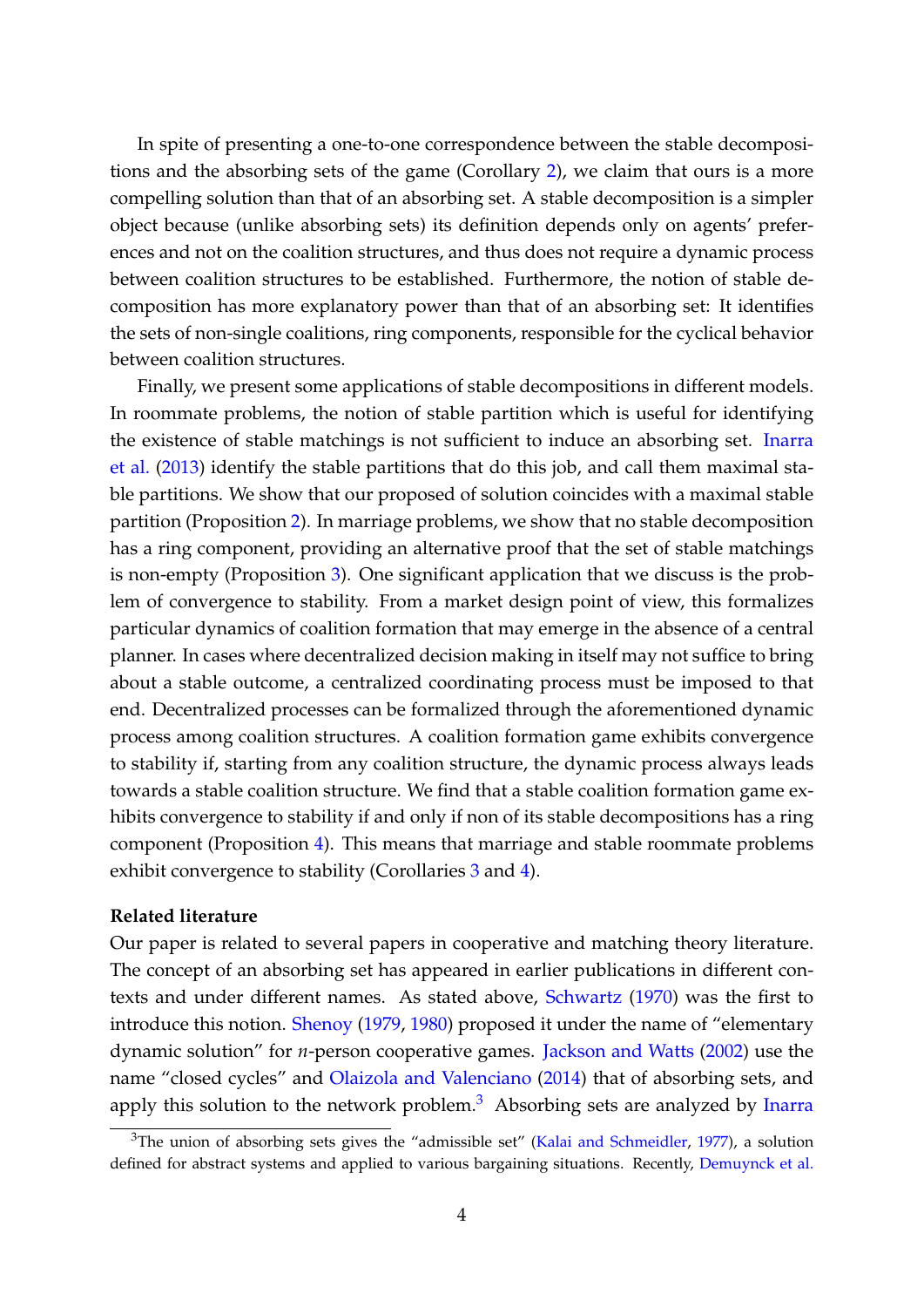In spite of presenting a one-to-one correspondence between the stable decompositions and the absorbing sets of the game (Corollary [2\)](#page-14-2), we claim that ours is a more compelling solution than that of an absorbing set. A stable decomposition is a simpler object because (unlike absorbing sets) its definition depends only on agents' preferences and not on the coalition structures, and thus does not require a dynamic process between coalition structures to be established. Furthermore, the notion of stable decomposition has more explanatory power than that of an absorbing set: It identifies the sets of non-single coalitions, ring components, responsible for the cyclical behavior between coalition structures.

Finally, we present some applications of stable decompositions in different models. In roommate problems, the notion of stable partition which is useful for identifying the existence of stable matchings is not sufficient to induce an absorbing set. [Inarra](#page-27-1) [et al.](#page-27-1) [\(2013\)](#page-27-1) identify the stable partitions that do this job, and call them maximal stable partitions. We show that our proposed of solution coincides with a maximal stable partition (Proposition [2\)](#page-19-0). In marriage problems, we show that no stable decomposition has a ring component, providing an alternative proof that the set of stable matchings is non-empty (Proposition [3\)](#page-19-1). One significant application that we discuss is the problem of convergence to stability. From a market design point of view, this formalizes particular dynamics of coalition formation that may emerge in the absence of a central planner. In cases where decentralized decision making in itself may not suffice to bring about a stable outcome, a centralized coordinating process must be imposed to that end. Decentralized processes can be formalized through the aforementioned dynamic process among coalition structures. A coalition formation game exhibits convergence to stability if, starting from any coalition structure, the dynamic process always leads towards a stable coalition structure. We find that a stable coalition formation game exhibits convergence to stability if and only if non of its stable decompositions has a ring component (Proposition [4\)](#page-20-0). This means that marriage and stable roommate problems exhibit convergence to stability (Corollaries [3](#page-21-0) and [4\)](#page-21-1).

#### **Related literature**

Our paper is related to several papers in cooperative and matching theory literature. The concept of an absorbing set has appeared in earlier publications in different contexts and under different names. As stated above, [Schwartz](#page-28-2) [\(1970\)](#page-28-2) was the first to introduce this notion. [Shenoy](#page-28-1) [\(1979,](#page-28-1) [1980\)](#page-28-3) proposed it under the name of "elementary dynamic solution" for *n*-person cooperative games. [Jackson and Watts](#page-27-2) [\(2002\)](#page-27-2) use the name "closed cycles" and [Olaizola and Valenciano](#page-27-3) [\(2014\)](#page-27-3) that of absorbing sets, and apply this solution to the network problem. $3$  Absorbing sets are analyzed by [Inarra](#page-27-1)

<span id="page-5-0"></span> $3$ [The union of absorbing sets gives the "admissible set" \(Kalai and Schmeidler,](#page-27-1) [1977\)](#page-27-4), a solution [defined for abstract systems and applied to various bargaining situations. Recently,](#page-27-1) [Demuynck et al.](#page-26-0)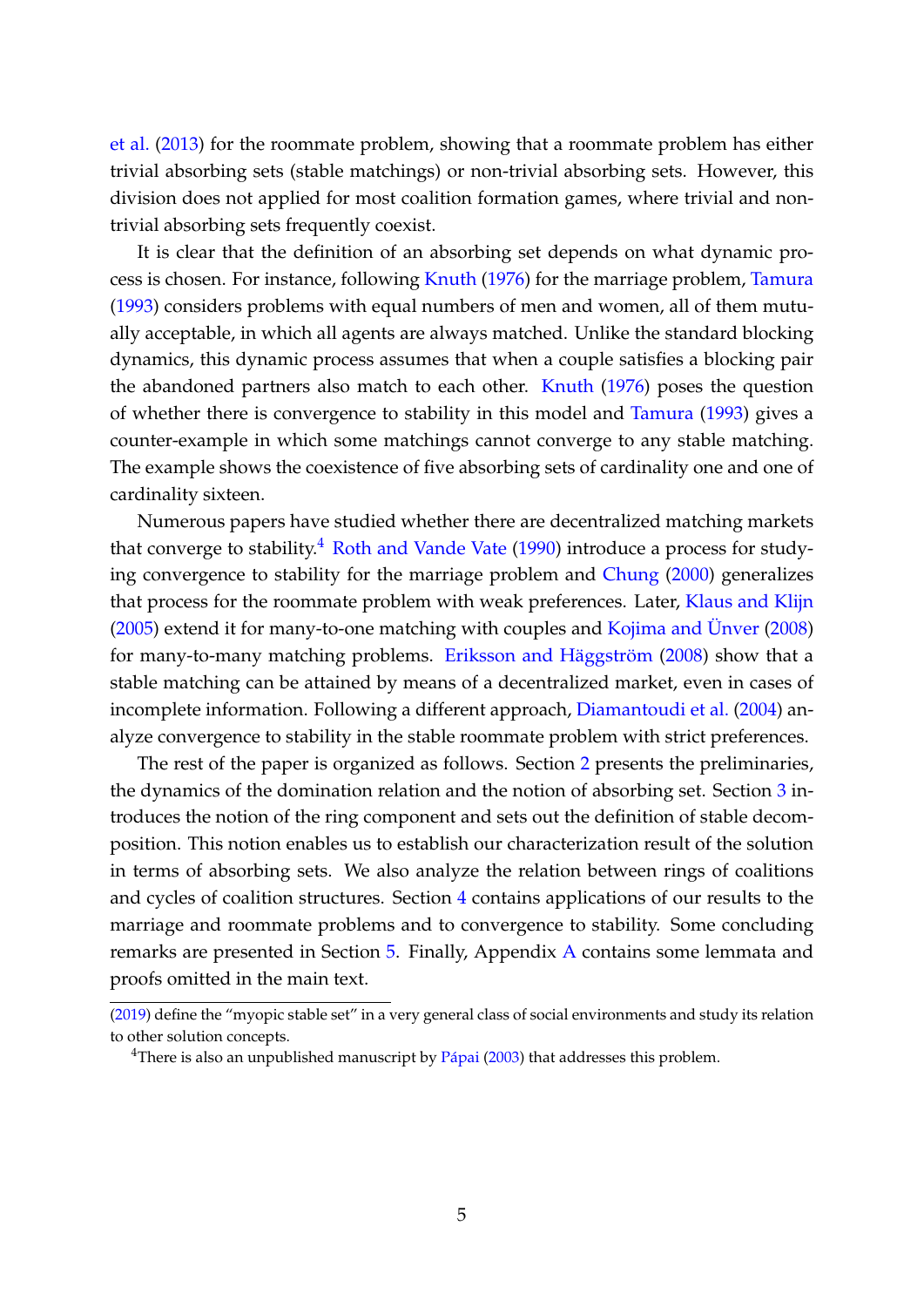[et al.](#page-27-1) [\(2013\)](#page-27-1) for the roommate problem, showing that a roommate problem has either trivial absorbing sets (stable matchings) or non-trivial absorbing sets. However, this division does not applied for most coalition formation games, where trivial and nontrivial absorbing sets frequently coexist.

It is clear that the definition of an absorbing set depends on what dynamic process is chosen. For instance, following [Knuth](#page-27-5) [\(1976\)](#page-27-5) for the marriage problem, [Tamura](#page-28-4) [\(1993\)](#page-28-4) considers problems with equal numbers of men and women, all of them mutually acceptable, in which all agents are always matched. Unlike the standard blocking dynamics, this dynamic process assumes that when a couple satisfies a blocking pair the abandoned partners also match to each other. [Knuth](#page-27-5) [\(1976\)](#page-27-5) poses the question of whether there is convergence to stability in this model and [Tamura](#page-28-4) [\(1993\)](#page-28-4) gives a counter-example in which some matchings cannot converge to any stable matching. The example shows the coexistence of five absorbing sets of cardinality one and one of cardinality sixteen.

Numerous papers have studied whether there are decentralized matching markets that converge to stability.<sup>[4](#page-6-0)</sup> [Roth and Vande Vate](#page-27-6)  $(1990)$  introduce a process for studying convergence to stability for the marriage problem and [Chung](#page-26-1) [\(2000\)](#page-26-1) generalizes that process for the roommate problem with weak preferences. Later, [Klaus and Klijn](#page-27-7) [\(2005\)](#page-27-7) extend it for many-to-one matching with couples and [Kojima and Ünver](#page-27-8) [\(2008\)](#page-27-8) for many-to-many matching problems. [Eriksson and Häggström](#page-26-2) [\(2008\)](#page-26-2) show that a stable matching can be attained by means of a decentralized market, even in cases of incomplete information. Following a different approach, [Diamantoudi et al.](#page-26-3) [\(2004\)](#page-26-3) analyze convergence to stability in the stable roommate problem with strict preferences.

The rest of the paper is organized as follows. Section [2](#page-7-0) presents the preliminaries, the dynamics of the domination relation and the notion of absorbing set. Section [3](#page-9-0) introduces the notion of the ring component and sets out the definition of stable decomposition. This notion enables us to establish our characterization result of the solution in terms of absorbing sets. We also analyze the relation between rings of coalitions and cycles of coalition structures. Section [4](#page-17-1) contains applications of our results to the marriage and roommate problems and to convergence to stability. Some concluding remarks are presented in Section [5.](#page-21-2) Finally, Appendix [A](#page-22-0) contains some lemmata and proofs omitted in the main text.

[<sup>\(2019\)</sup>](#page-26-0) define the "myopic stable set" in a very general class of social environments and study its relation to other solution concepts.

<span id="page-6-0"></span><sup>&</sup>lt;sup>4</sup>There is also an unpublished manuscript by  $Pápai (2003)$  $Pápai (2003)$  $Pápai (2003)$  that addresses this problem.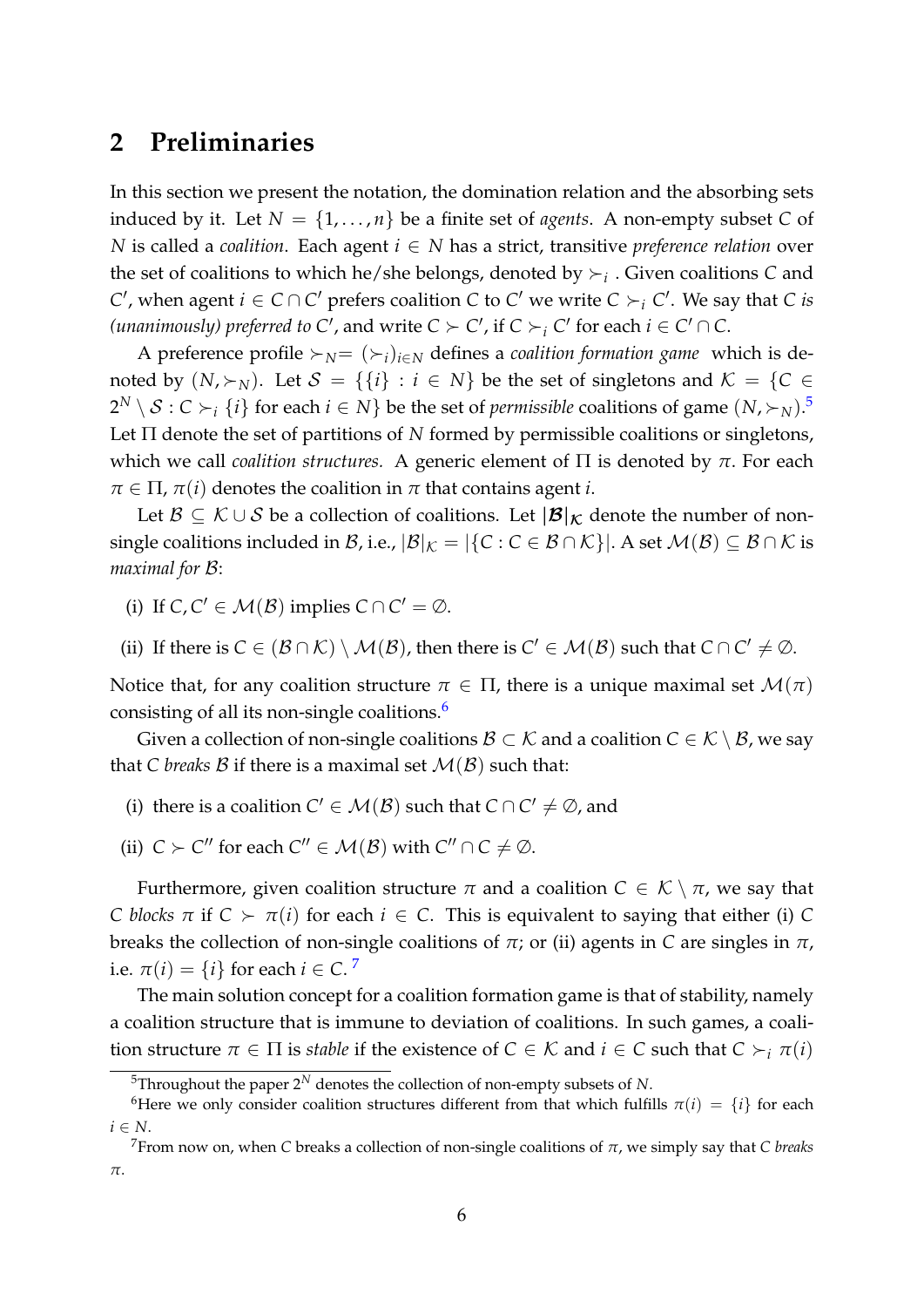## <span id="page-7-0"></span>**2 Preliminaries**

In this section we present the notation, the domination relation and the absorbing sets induced by it. Let  $N = \{1, \ldots, n\}$  be a finite set of *agents*. A non-empty subset C of *N* is called a *coalition*. Each agent *i* ∈ *N* has a strict, transitive *preference relation* over the set of coalitions to which he/she belongs, denoted by  $\succ_i$ . Given coalitions *C* and *C*<sup> $'$ </sup>, when agent *i* ∈ *C* ∩ *C*<sup> $'$ </sup> prefers coalition *C* to *C*<sup> $'$ </sup> we write *C* ≻<sub>*i*</sub> *C*<sup> $'$ </sup>. We say that *C is (unanimously) preferred to*  $C'$ , and write  $C \succ C'$ , if  $C \succ_i C'$  for each  $i \in C' \cap C$ .

A preference profile ≻*N*=  $(\succ_i)_{i \in N}$  defines a *coalition formation game* which is denoted by  $(N, \succ_N)$ . Let  $S = \{\{i\} : i \in N\}$  be the set of singletons and  $K = \{C \in$  $2^N\setminus\mathcal{S}:C\succ_i\{i\}$  for each  $i\in N\}$  be the set of *permissible* coalitions of game  $(N,\succ_N).$   $^5$  $^5$ Let Π denote the set of partitions of *N* formed by permissible coalitions or singletons, which we call *coalition structures.* A generic element of Π is denoted by *π*. For each  $\pi \in \Pi$ ,  $\pi(i)$  denotes the coalition in  $\pi$  that contains agent *i*.

Let  $\mathcal{B} \subseteq \mathcal{K} \cup \mathcal{S}$  be a collection of coalitions. Let  $|\mathcal{B}|_{\mathcal{K}}$  denote the number of nonsingle coalitions included in B, i.e.,  $|\mathcal{B}|_K = |\{C : C \in \mathcal{B} \cap \mathcal{K}\}|$ . A set  $\mathcal{M}(\mathcal{B}) \subseteq \mathcal{B} \cap \mathcal{K}$  is *maximal for* B:

(i) If  $C, C' \in \mathcal{M}(\mathcal{B})$  implies  $C \cap C' = \emptyset$ .

(ii) If there is  $C \in (\mathcal{B} \cap \mathcal{K}) \setminus \mathcal{M}(\mathcal{B})$ , then there is  $C' \in \mathcal{M}(\mathcal{B})$  such that  $C \cap C' \neq \emptyset$ .

Notice that, for any coalition structure  $\pi \in \Pi$ , there is a unique maximal set  $\mathcal{M}(\pi)$ consisting of all its non-single coalitions.[6](#page-7-2)

Given a collection of non-single coalitions  $\mathcal{B} \subset \mathcal{K}$  and a coalition  $C \in \mathcal{K} \setminus \mathcal{B}$ , we say that *C* breaks *B* if there is a maximal set  $M(\mathcal{B})$  such that:

- (i) there is a coalition  $C' \in \mathcal{M}(\mathcal{B})$  such that  $C \cap C' \neq \emptyset$ , and
- (ii)  $C \succ C''$  for each  $C'' \in \mathcal{M}(\mathcal{B})$  with  $C'' \cap C \neq \emptyset$ .

Furthermore, given coalition structure  $\pi$  and a coalition  $C \in \mathcal{K} \setminus \pi$ , we say that *C* blocks  $\pi$  if  $C \succ \pi(i)$  for each  $i \in C$ . This is equivalent to saying that either (i) C breaks the collection of non-single coalitions of *π*; or (ii) agents in *C* are singles in *π*, i.e.  $\pi(i) = \{i\}$  for each  $i \in C$ .<sup>[7](#page-7-3)</sup>

The main solution concept for a coalition formation game is that of stability, namely a coalition structure that is immune to deviation of coalitions. In such games, a coalition structure  $\pi \in \Pi$  is *stable* if the existence of  $C \in \mathcal{K}$  and  $i \in C$  such that  $C \succ_i \pi(i)$ 

<span id="page-7-2"></span><span id="page-7-1"></span><sup>&</sup>lt;sup>5</sup>Throughout the paper  $2^N$  denotes the collection of non-empty subsets of *N*.

<sup>&</sup>lt;sup>6</sup>Here we only consider coalition structures different from that which fulfills  $\pi(i) = \{i\}$  for each *i* ∈ *N*.

<span id="page-7-3"></span><sup>7</sup>From now on, when *C* breaks a collection of non-single coalitions of *π*, we simply say that *C breaks π*.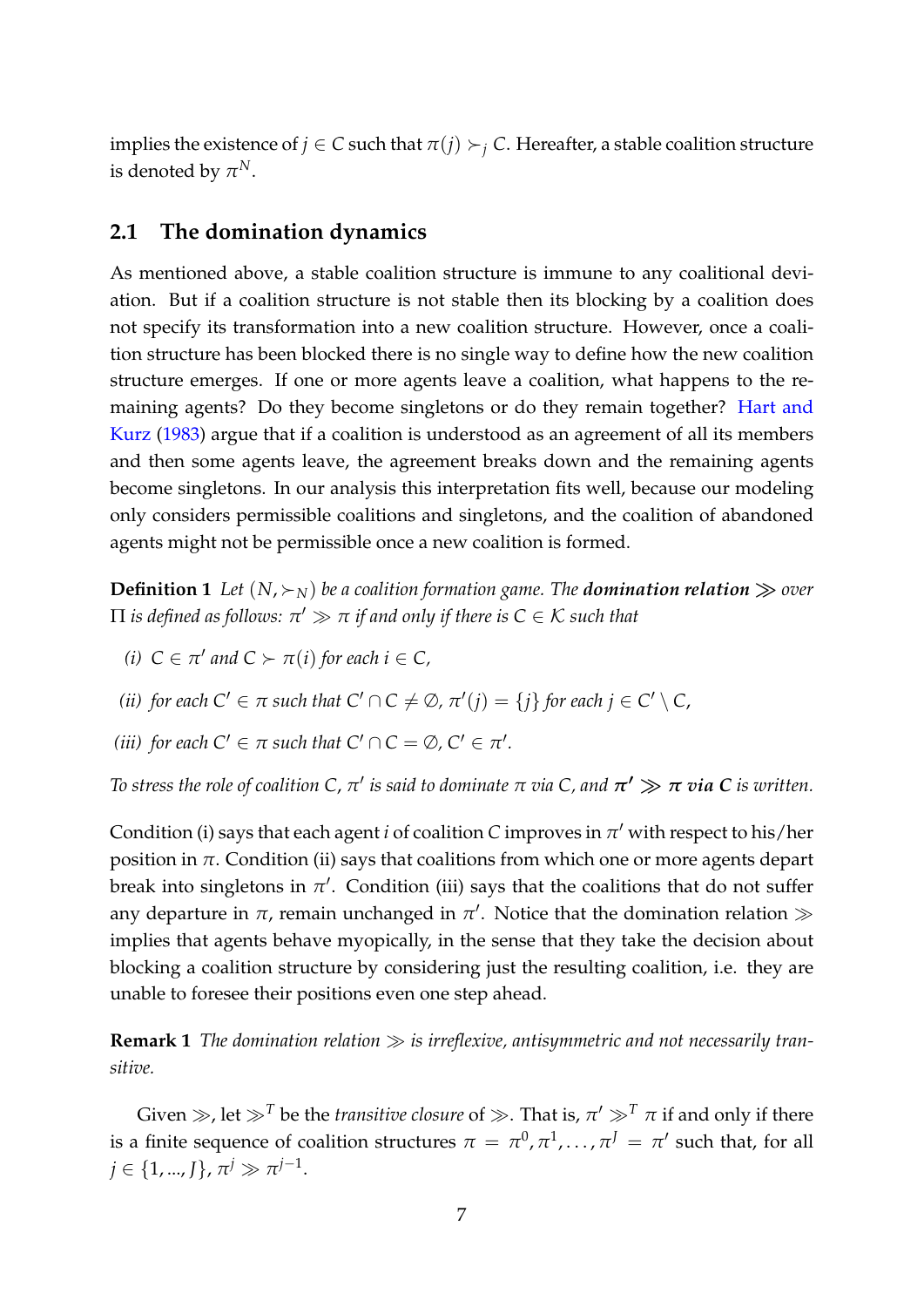implies the existence of  $j \in C$  such that  $\pi(j) \succ_j C$ . Hereafter, a stable coalition structure is denoted by  $\pi^N$ .

#### **2.1 The domination dynamics**

As mentioned above, a stable coalition structure is immune to any coalitional deviation. But if a coalition structure is not stable then its blocking by a coalition does not specify its transformation into a new coalition structure. However, once a coalition structure has been blocked there is no single way to define how the new coalition structure emerges. If one or more agents leave a coalition, what happens to the remaining agents? Do they become singletons or do they remain together? [Hart and](#page-27-10) [Kurz](#page-27-10) [\(1983\)](#page-27-10) argue that if a coalition is understood as an agreement of all its members and then some agents leave, the agreement breaks down and the remaining agents become singletons. In our analysis this interpretation fits well, because our modeling only considers permissible coalitions and singletons, and the coalition of abandoned agents might not be permissible once a new coalition is formed.

<span id="page-8-0"></span>**Definition 1** Let  $(N, \succ_N)$  be a coalition formation game. The **domination relation**  $\gg$  over  $\Pi$  *is defined as follows:*  $\pi' \gg \pi$  *if and only if there is*  $C \in \mathcal{K}$  *such that* 

*(i)*  $C \in \pi'$  and  $C \succ \pi(i)$  for each  $i \in C$ ,

*(ii) for each*  $C' \in \pi$  *such that*  $C' \cap C \neq \emptyset$ ,  $\pi'(j) = \{j\}$  *for each*  $j \in C' \setminus C$ ,

*(iii) for each*  $C' \in \pi$  *such that*  $C' \cap C = \emptyset$ ,  $C' \in \pi'$ *.* 

*To stress the role of coalition C,*  $\pi'$  *is said to dominate*  $\pi$  *via C, and*  $\pi' \gg \pi$  *via C is written.* 

Condition (i) says that each agent *i* of coalition *C* improves in *π* ′ with respect to his/her position in  $\pi$ . Condition (ii) says that coalitions from which one or more agents depart break into singletons in  $\pi'$ . Condition (iii) says that the coalitions that do not suffer any departure in  $\pi$ , remain unchanged in  $\pi'$ . Notice that the domination relation  $\gg$ implies that agents behave myopically, in the sense that they take the decision about blocking a coalition structure by considering just the resulting coalition, i.e. they are unable to foresee their positions even one step ahead.

**Remark 1** *The domination relation* ≫ *is irreflexive, antisymmetric and not necessarily transitive.*

Given  $\gg$ , let  $\gg^T$  be the *transitive closure* of  $\gg$ . That is,  $\pi' \gg^T \pi$  if and only if there is a finite sequence of coalition structures  $\pi = \pi^0, \pi^1, \ldots, \pi^J = \pi'$  such that, for all  $j \in \{1, ..., J\}$ ,  $\pi^{j} \gg \pi^{j-1}$ .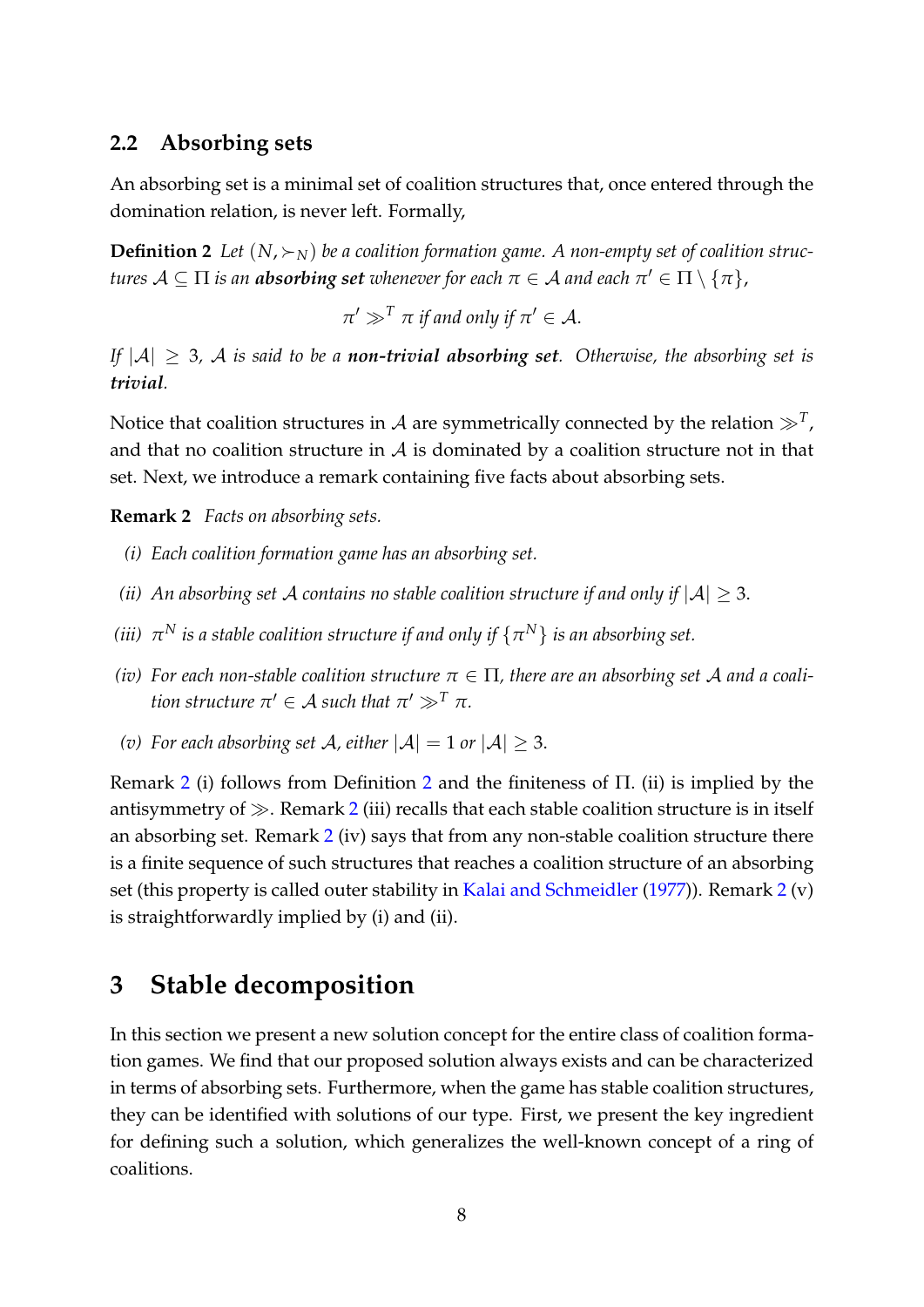#### **2.2 Absorbing sets**

An absorbing set is a minimal set of coalition structures that, once entered through the domination relation, is never left. Formally,

<span id="page-9-2"></span>**Definition 2** Let  $(N, \succ_N)$  be a coalition formation game. A non-empty set of coalition struc $t$ ures  $\mathcal{A}\subseteq \Pi$  is an  $\boldsymbol{a}$ bsorbing set whenever for each  $\pi\in \mathcal{A}$  and each  $\pi'\in \Pi\setminus\{\pi\}$ ,

 $\pi' \gg^T \pi$  *if and only if*  $\pi' \in A$ .

*If*  $|A| \geq 3$ , A *is said to be a non-trivial absorbing set.* Otherwise, the absorbing set is *trivial.*

Notice that coalition structures in  ${\cal A}$  are symmetrically connected by the relation  $\gg^T$ , and that no coalition structure in  $A$  is dominated by a coalition structure not in that set. Next, we introduce a remark containing five facts about absorbing sets.

<span id="page-9-1"></span>**Remark 2** *Facts on absorbing sets.*

- *(i) Each coalition formation game has an absorbing set.*
- *(ii)* An absorbing set A contains no stable coalition structure if and only if  $|A| \geq 3$ .
- *(iii)*  $\,\pi^N$  *is a stable coalition structure if and only if*  $\{\pi^N\}$  *is an absorbing set.*
- *(iv)* For each non-stable coalition structure  $\pi \in \Pi$ , there are an absorbing set A and a coali*tion structure*  $\pi' \in A$  *such that*  $\pi' \gg^T \pi$ *.*
- *(v)* For each absorbing set A, either  $|A| = 1$  or  $|A| \geq 3$ .

Remark [2](#page-9-1) (i) follows from Definition [2](#page-9-2) and the finiteness of Π. (ii) is implied by the antisymmetry of  $\gg$ . Remark [2](#page-9-1) (iii) recalls that each stable coalition structure is in itself an absorbing set. Remark [2](#page-9-1) (iv) says that from any non-stable coalition structure there is a finite sequence of such structures that reaches a coalition structure of an absorbing set (this property is called outer stability in [Kalai and Schmeidler](#page-27-4) [\(1977\)](#page-27-4)). Remark [2](#page-9-1) (v) is straightforwardly implied by (i) and (ii).

## <span id="page-9-0"></span>**3 Stable decomposition**

In this section we present a new solution concept for the entire class of coalition formation games. We find that our proposed solution always exists and can be characterized in terms of absorbing sets. Furthermore, when the game has stable coalition structures, they can be identified with solutions of our type. First, we present the key ingredient for defining such a solution, which generalizes the well-known concept of a ring of coalitions.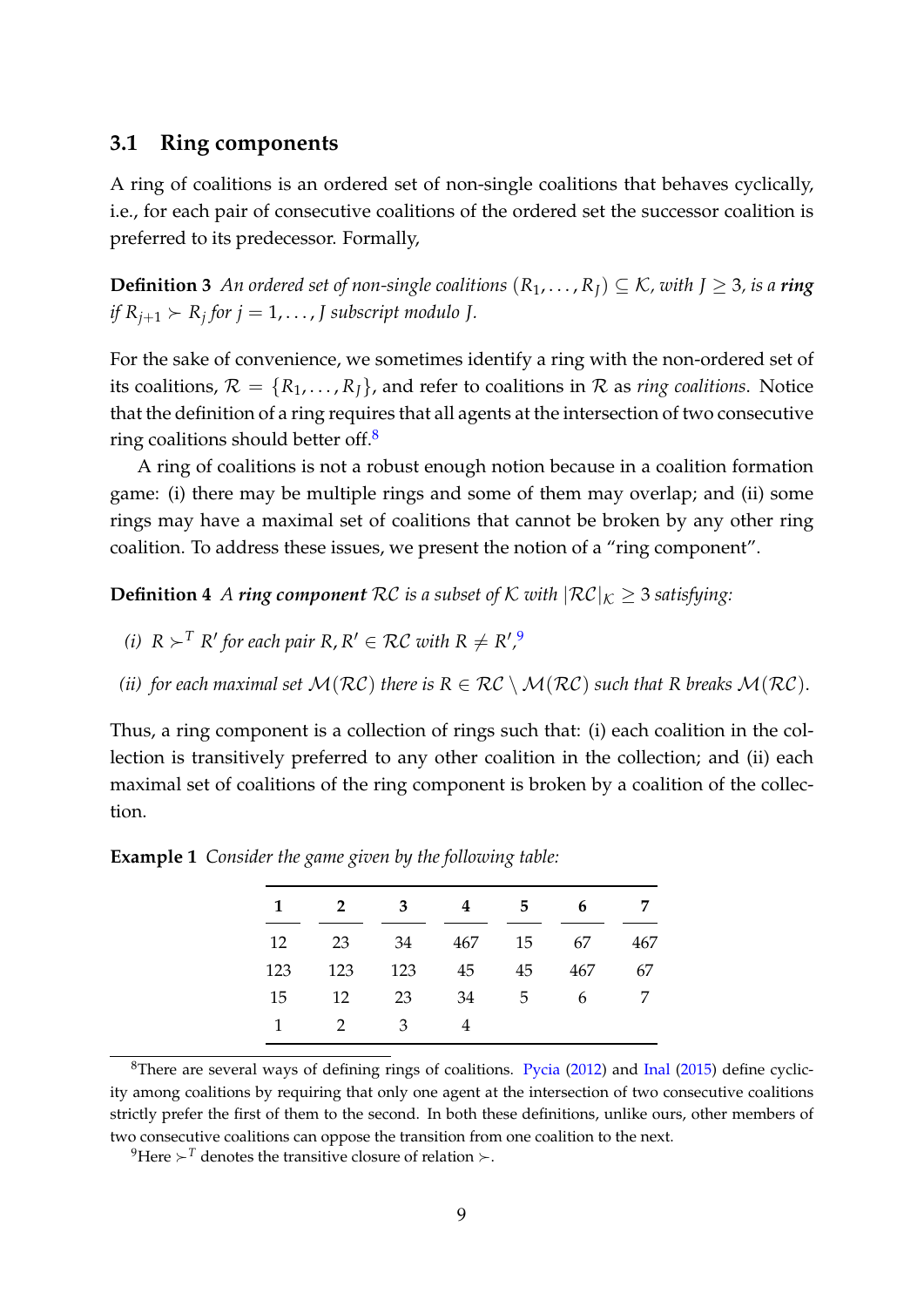#### **3.1 Ring components**

A ring of coalitions is an ordered set of non-single coalitions that behaves cyclically, i.e., for each pair of consecutive coalitions of the ordered set the successor coalition is preferred to its predecessor. Formally,

**Definition 3** An ordered set of non-single coalitions  $(R_1, \ldots, R_I) \subseteq K$ , with  $I \geq 3$ , is a **ring** *if*  $R_{j+1} > R_j$  for  $j = 1, \ldots, J$  subscript modulo J.

For the sake of convenience, we sometimes identify a ring with the non-ordered set of its coalitions,  $\mathcal{R} = \{R_1, \ldots, R_I\}$ , and refer to coalitions in  $\mathcal R$  as *ring coalitions*. Notice that the definition of a ring requires that all agents at the intersection of two consecutive ring coalitions should better of  $\frac{8}{5}$  $\frac{8}{5}$  $\frac{8}{5}$ 

A ring of coalitions is not a robust enough notion because in a coalition formation game: (i) there may be multiple rings and some of them may overlap; and (ii) some rings may have a maximal set of coalitions that cannot be broken by any other ring coalition. To address these issues, we present the notion of a "ring component".

<span id="page-10-2"></span>**Definition 4** *A ring component*  $RC$  *is a subset of*  $K$  *with*  $|RC|_K \geq 3$  *satisfying:* 

- *(i)*  $R$  ≻<sup>*T*</sup>  $R'$  for each pair  $R, R' \in RC$  with  $R \neq R'$ ,<sup>[9](#page-10-1)</sup>
- *(ii)* for each maximal set  $M(RC)$  there is  $R \in RC \setminus M(RC)$  such that R breaks  $M(RC)$ .

Thus, a ring component is a collection of rings such that: (i) each coalition in the collection is transitively preferred to any other coalition in the collection; and (ii) each maximal set of coalitions of the ring component is broken by a coalition of the collection.

| 1   | 2   | 3   |     | 5  | 6   |     |
|-----|-----|-----|-----|----|-----|-----|
| 12  | 23  | 34  | 467 | 15 | 67  | 467 |
| 123 | 123 | 123 | 45  | 45 | 467 | 67  |
| 15  | 12  | 23  | 34  | 5  | 6   |     |
| 1   | 2   | 3   | 4   |    |     |     |

<span id="page-10-3"></span>**Example 1** *Consider the game given by the following table:*

<span id="page-10-0"></span><sup>8</sup>There are several ways of defining rings of coalitions. [Pycia](#page-27-11)  $(2012)$  and [Inal](#page-27-12)  $(2015)$  define cyclicity among coalitions by requiring that only one agent at the intersection of two consecutive coalitions strictly prefer the first of them to the second. In both these definitions, unlike ours, other members of two consecutive coalitions can oppose the transition from one coalition to the next.

<span id="page-10-1"></span><sup>9</sup>Here  $\succ$ <sup>*T*</sup> denotes the transitive closure of relation  $\succ$ .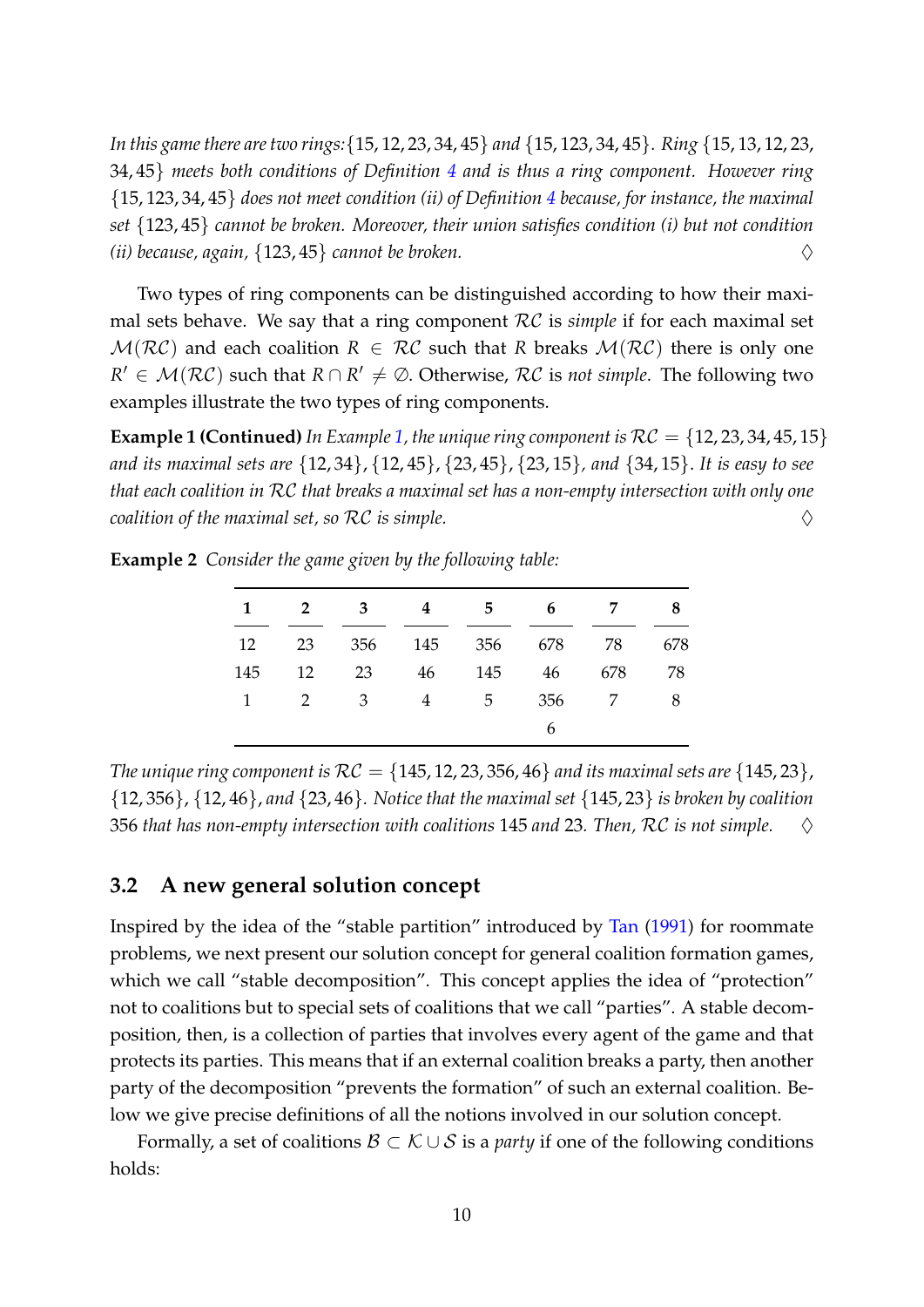*In this game there are two rings:*{15, 12, 23, 34, 45} *and* {15, 123, 34, 45}*. Ring* {15, 13, 12, 23, 34, 45} *meets both conditions of Definition [4](#page-10-2) and is thus a ring component. However ring* {15, 123, 34, 45} *does not meet condition (ii) of Definition [4](#page-10-2) because, for instance, the maximal set* {123, 45} *cannot be broken. Moreover, their union satisfies condition (i) but not condition (ii) because, again,*  $\{123, 45\}$  *cannot be broken.*  $\diamondsuit$ 

Two types of ring components can be distinguished according to how their maximal sets behave. We say that a ring component RC is *simple* if for each maximal set  $M(RC)$  and each coalition  $R \in RC$  such that R breaks  $M(RC)$  there is only one  $R' \in \mathcal{M}(\mathcal{RC})$  such that  $R \cap R' \neq \emptyset$ . Otherwise,  $\mathcal{RC}$  is *not simple*. The following two examples illustrate the two types of ring components.

**Example 1 (Continued)** In Example [1,](#page-10-3) the unique ring component is  $RC = \{12, 23, 34, 45, 15\}$ *and its maximal sets are* {12, 34}, {12, 45}, {23, 45}, {23, 15}*, and* {34, 15}. *It is easy to see that each coalition in* RC *that breaks a maximal set has a non-empty intersection with only one coalition of the maximal set, so*  $RC$  *is simple.*  $\Diamond$ 

<span id="page-11-0"></span>**Example 2** *Consider the game given by the following table:*

|           | $2^{\circ}$ | $\overline{\mathbf{3}}$ | 4 | 5 <sub>5</sub>     | $6\overline{6}$ | $\overline{7}$ | 8   |
|-----------|-------------|-------------------------|---|--------------------|-----------------|----------------|-----|
| 12        | 23          |                         |   | 356 145 356 678 78 |                 |                | 678 |
| 145       | 12          | 23                      |   | 46 145             | 46              | 678            | 78  |
| $1 \quad$ | 2 3         |                         |   | 4 5                | 356             | 7              | 8   |
|           |             |                         |   |                    | 6               |                |     |

*The unique ring component is*  $\mathcal{RC} = \{145, 12, 23, 356, 46\}$  *and its maximal sets are*  $\{145, 23\}$ , {12, 356}, {12, 46}, *and* {23, 46}*. Notice that the maximal set* {145, 23} *is broken by coalition* 356 *that has non-empty intersection with coalitions* 145 *and* 23*. Then,* RC *is not simple.* ♢

#### **3.2 A new general solution concept**

Inspired by the idea of the "stable partition" introduced by [Tan](#page-28-0) [\(1991\)](#page-28-0) for roommate problems, we next present our solution concept for general coalition formation games, which we call "stable decomposition". This concept applies the idea of "protection" not to coalitions but to special sets of coalitions that we call "parties". A stable decomposition, then, is a collection of parties that involves every agent of the game and that protects its parties. This means that if an external coalition breaks a party, then another party of the decomposition "prevents the formation" of such an external coalition. Below we give precise definitions of all the notions involved in our solution concept.

Formally, a set of coalitions  $\mathcal{B} \subset \mathcal{K} \cup \mathcal{S}$  is a *party* if one of the following conditions holds: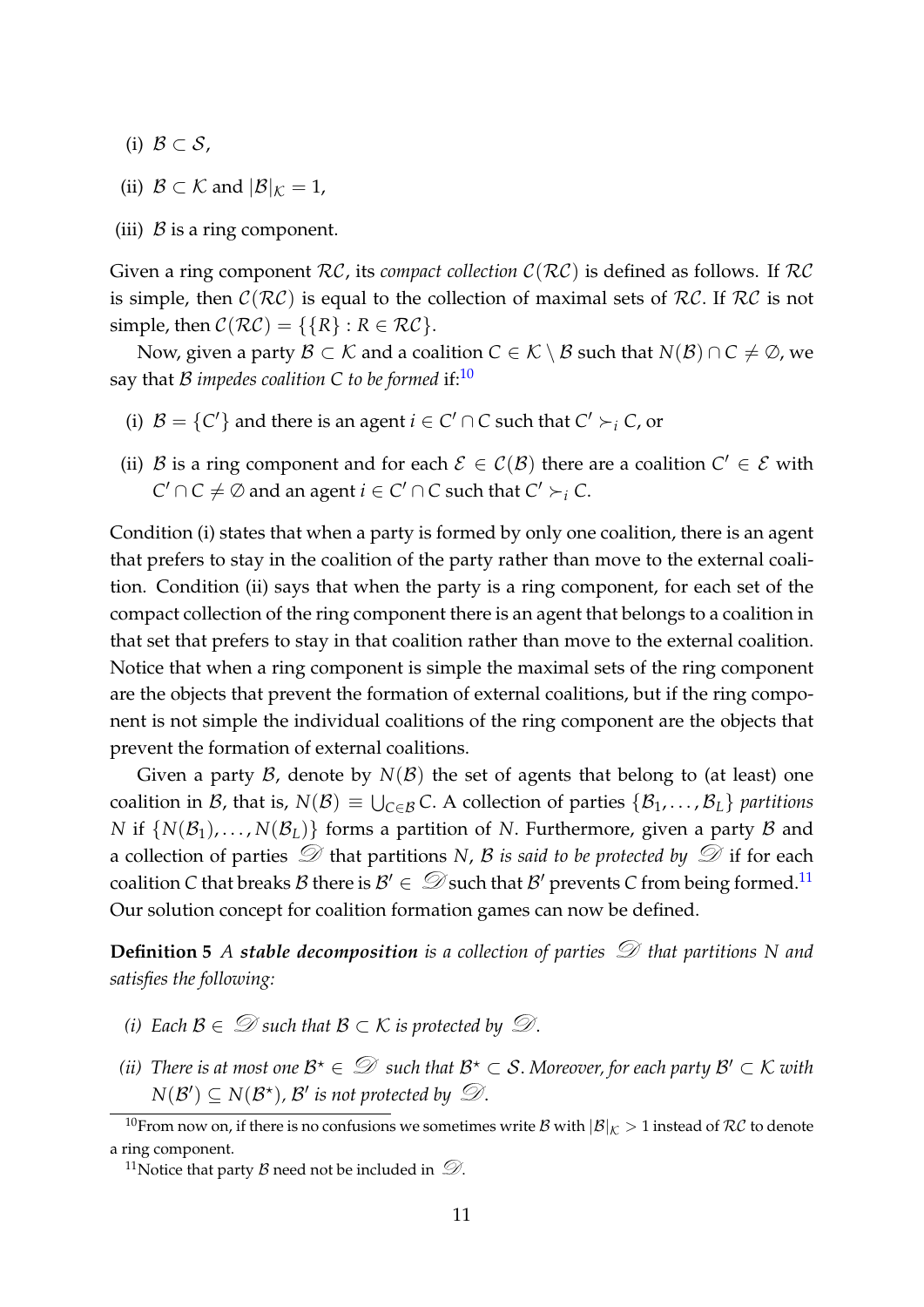- (i)  $\mathcal{B} \subset \mathcal{S}$ ,
- (ii)  $\mathcal{B} \subset \mathcal{K}$  and  $|\mathcal{B}|_{\mathcal{K}} = 1$ ,
- (iii)  $\beta$  is a ring component.

Given a ring component  $RC$ , its *compact collection*  $C(RC)$  is defined as follows. If  $RC$ is simple, then  $C(\mathcal{RC})$  is equal to the collection of maximal sets of  $\mathcal{RC}$ . If  $\mathcal{RC}$  is not simple, then  $C(\mathcal{RC}) = \{\{R\} : R \in \mathcal{RC}\}.$ 

Now, given a party *B* ⊂ *K* and a coalition *C* ∈ *K* \ *B* such that *N*(*B*) ∩ *C* ≠ ∅, we say that B *impedes coalition* C to be formed if: $^{10}$  $^{10}$  $^{10}$ 

- (i)  $\mathcal{B} = \{C'\}$  and there is an agent  $i \in C' \cap C$  such that  $C' \succ_i C$ , or
- (ii) B is a ring component and for each  $\mathcal{E} \in \mathcal{C}(\mathcal{B})$  there are a coalition  $C' \in \mathcal{E}$  with  $C' \cap C \neq \emptyset$  and an agent  $i \in C' \cap C$  such that  $C' \succ_i C$ .

Condition (i) states that when a party is formed by only one coalition, there is an agent that prefers to stay in the coalition of the party rather than move to the external coalition. Condition (ii) says that when the party is a ring component, for each set of the compact collection of the ring component there is an agent that belongs to a coalition in that set that prefers to stay in that coalition rather than move to the external coalition. Notice that when a ring component is simple the maximal sets of the ring component are the objects that prevent the formation of external coalitions, but if the ring component is not simple the individual coalitions of the ring component are the objects that prevent the formation of external coalitions.

Given a party  $\mathcal B$ , denote by  $N(\mathcal B)$  the set of agents that belong to (at least) one coalition in B, that is,  $N(B) \equiv \bigcup_{C \in B} C$ . A collection of parties  $\{B_1, \ldots, B_L\}$  partitions *N* if  $\{N(\mathcal{B}_1), \ldots, N(\mathcal{B}_L)\}\$  forms a partition of *N*. Furthermore, given a party  $\beta$  and a collection of parties  $\mathcal D$  that partitions *N*, *B* is said to be protected by  $\mathcal D$  if for each coalition *C* that breaks *B* there is  $B' \in \mathcal{D}$  such that *B'* prevents *C* from being formed.<sup>[11](#page-12-1)</sup> Our solution concept for coalition formation games can now be defined.

**Definition 5** *A stable decomposition* is a collection of parties  $\mathcal D$  that partitions N and *satisfies the following:*

- <span id="page-12-2"></span>*(i)* Each  $\mathcal{B} \in \mathcal{D}$  such that  $\mathcal{B} \subset \mathcal{K}$  is protected by  $\mathcal{D}$ .
- (*ii*) There is at most one  $\mathcal{B}^\star \in \mathcal{D}$  such that  $\mathcal{B}^\star \subset \mathcal{S}$ . Moreover, for each party  $\mathcal{B}' \subset \mathcal{K}$  with  $N(\mathcal{B}') \subseteq N(\mathcal{B}^{\star}), \mathcal{B}'$  is not protected by  $\mathcal{D}$ .

<span id="page-12-0"></span><sup>&</sup>lt;sup>10</sup>From now on, if there is no confusions we sometimes write B with  $|\mathcal{B}|_K > 1$  instead of RC to denote a ring component.

<span id="page-12-1"></span><sup>&</sup>lt;sup>11</sup>Notice that party *B* need not be included in  $\mathcal{D}$ .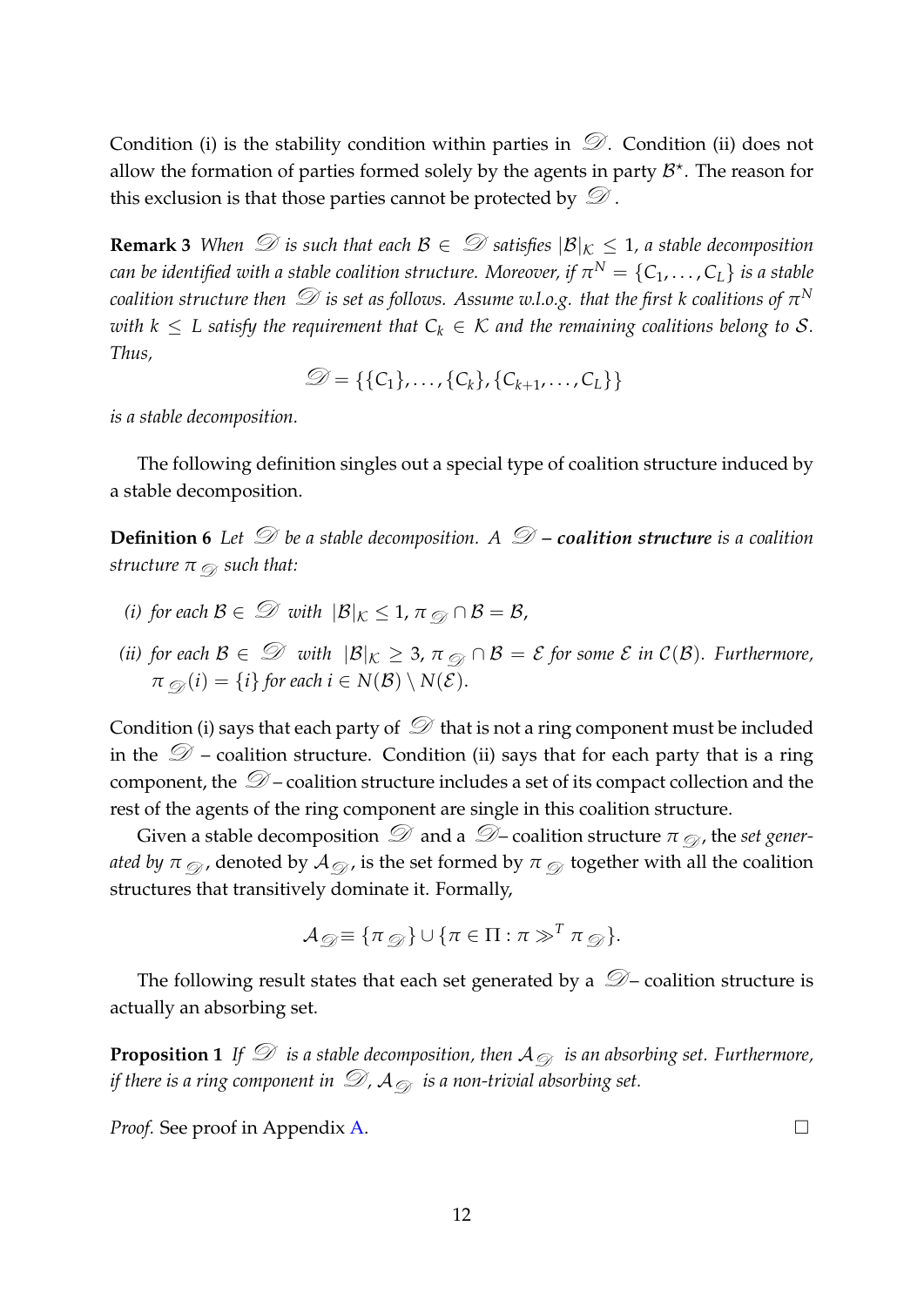Condition (i) is the stability condition within parties in  $\mathcal D$ . Condition (ii) does not allow the formation of parties formed solely by the agents in party  $B^*$ . The reason for this exclusion is that those parties cannot be protected by  $\mathcal{D}$ .

<span id="page-13-0"></span>**Remark 3** When  $\mathcal{D}$  is such that each  $\mathcal{B} \in \mathcal{D}$  satisfies  $|\mathcal{B}|_K \leq 1$ , a stable decomposition  $c$ an be identified with a stable coalition structure. Moreover, if  $\pi^N = \{ \mathsf{C}_1, \dots, \mathsf{C}_L \}$  is a stable *coalition structure then*  $\mathcal D$  *is set as follows. Assume w.l.o.g. that the first k coalitions of*  $\pi^N$ *with*  $k \leq L$  satisfy the requirement that  $C_k \in \mathcal{K}$  and the remaining coalitions belong to S. *Thus,*

$$
\mathcal{D} = \{\{C_1\}, \ldots, \{C_k\}, \{C_{k+1}, \ldots, C_L\}\}\
$$

*is a stable decomposition.*

The following definition singles out a special type of coalition structure induced by a stable decomposition.

**Definition 6** Let  $\mathcal{D}$  be a stable decomposition. A  $\mathcal{D}$  – coalition structure is a coalition *structure*  $\pi$   $\otimes$  *such that:* 

- *(i) for each*  $B \in \mathcal{D}$  *with*  $|B|_K \leq 1$ ,  $\pi \mathcal{D} \cap B = B$ ,
- *(ii) for each*  $B \in \mathcal{D}$  *with*  $|B|_K \geq 3$ ,  $\pi \mathcal{D} \cap B = \mathcal{E}$  *for some*  $\mathcal{E}$  *in*  $C(B)$ *. Furthermore,*  $\pi \varnothing (i) = \{i\}$  for each  $i \in N(\mathcal{B}) \setminus N(\mathcal{E})$ .

Condition (i) says that each party of  $\mathcal D$  that is not a ring component must be included in the  $\mathcal{D}$  – coalition structure. Condition (ii) says that for each party that is a ring component, the  $\mathcal{D}$  – coalition structure includes a set of its compact collection and the rest of the agents of the ring component are single in this coalition structure.

Given a stable decomposition  $\mathcal D$  and a  $\mathcal D$  – coalition structure  $\pi \mathfrak \varnothing$ , the *set generated by*  $\pi_{\mathcal{D}}$ , denoted by  $\mathcal{A}_{\mathcal{D}}$ , is the set formed by  $\pi_{\mathcal{D}}$  together with all the coalition structures that transitively dominate it. Formally,

$$
\mathcal{A}_{\mathcal{D}} \equiv \{\pi_{\mathcal{D}}\} \cup \{\pi \in \Pi : \pi \gg^T \pi_{\mathcal{D}}\}.
$$

The following result states that each set generated by a  $\mathcal{D}-$  coalition structure is actually an absorbing set.

<span id="page-13-1"></span>**Proposition 1** *If*  $\mathcal D$  *is a stable decomposition, then*  $A_{\mathcal D}$  *is an absorbing set. Furthermore, if there is a ring component in*  $\mathcal{D}$ ,  $\mathcal{A}_{\mathcal{D}}$  *is a non-trivial absorbing set.* 

*Proof.* See proof in Appendix [A.](#page-22-0) □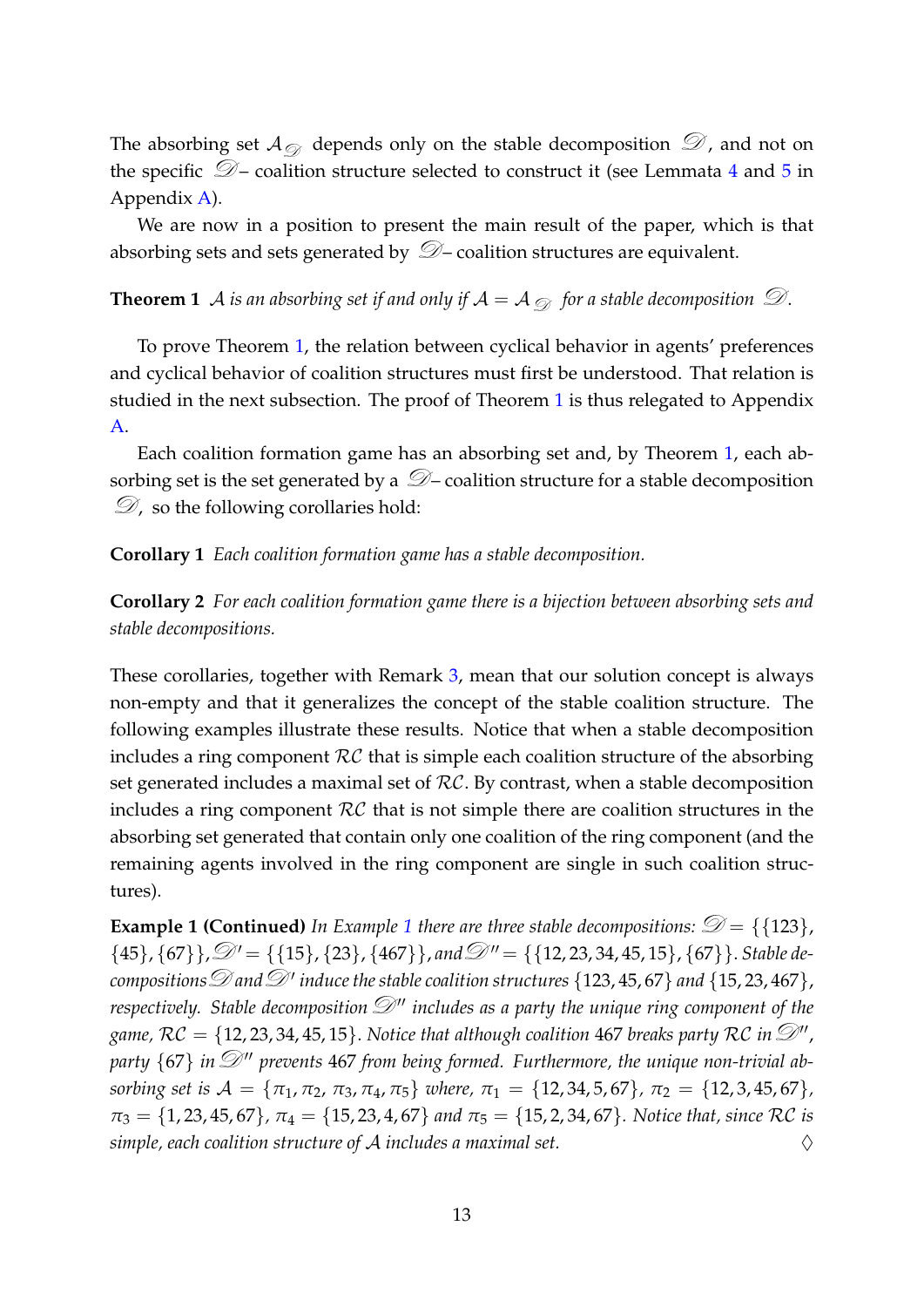The absorbing set  $\mathcal{A}_{\oslash \mathcal{A}}$  depends only on the stable decomposition  $\mathcal{D}$ , and not on the specific  $\mathcal{D}$  – coalition structure selected to construct it (see Lemmata [4](#page-24-0) and [5](#page-25-0) in Appendix [A\)](#page-22-0).

We are now in a position to present the main result of the paper, which is that absorbing sets and sets generated by  $\mathcal{D}$  – coalition structures are equivalent.

<span id="page-14-0"></span>**Theorem 1** A *is an absorbing set if and only if*  $A = A_{\emptyset}$  *for a stable decomposition*  $\mathcal{D}$ .

To prove Theorem [1,](#page-14-0) the relation between cyclical behavior in agents' preferences and cyclical behavior of coalition structures must first be understood. That relation is studied in the next subsection. The proof of Theorem [1](#page-14-0) is thus relegated to Appendix [A.](#page-22-0)

Each coalition formation game has an absorbing set and, by Theorem [1,](#page-14-0) each absorbing set is the set generated by a  $\mathcal{D}$  – coalition structure for a stable decomposition  $\mathcal{D}$ , so the following corollaries hold:

#### <span id="page-14-1"></span>**Corollary 1** *Each coalition formation game has a stable decomposition.*

<span id="page-14-2"></span>**Corollary 2** *For each coalition formation game there is a bijection between absorbing sets and stable decompositions.*

These corollaries, together with Remark [3,](#page-13-0) mean that our solution concept is always non-empty and that it generalizes the concept of the stable coalition structure. The following examples illustrate these results. Notice that when a stable decomposition includes a ring component  $RC$  that is simple each coalition structure of the absorbing set generated includes a maximal set of  $RC$ . By contrast, when a stable decomposition includes a ring component  $RC$  that is not simple there are coalition structures in the absorbing set generated that contain only one coalition of the ring component (and the remaining agents involved in the ring component are single in such coalition structures).

**Example [1](#page-10-3) (Continued)** In Example 1 there are three stable decompositions:  $\mathcal{D} = \{123\}$ ,  ${45}, {67}, \mathcal{D}' = {\{15\}, {23}, {467}\}, and \mathcal{D}'' = {\{12, 23, 34, 45, 15\}, {67}\}.$  *Stable de-* $\overline{\text{compositions}}$   $\mathscr{D}$  *and*  $\mathscr{D}'$  *induce the stable coalition structures* {123, 45, 67} *and* {15, 23, 467}, *respectively. Stable decomposition*  $\mathcal{D}$ " *includes as a party the unique ring component of the* game,  $RC = \{12, 23, 34, 45, 15\}$ . *Notice that although coalition* 467 *breaks party RC in*  $\mathscr{D}''$ , party  $\{67\}$  in  $\mathcal{D}''$  prevents 467 from being formed. Furthermore, the unique non-trivial ab*sorbing set is*  $A = {\pi_1, \pi_2, \pi_3, \pi_4, \pi_5}$  *where,*  $\pi_1 = {12, 34, 5, 67}$ *,*  $\pi_2 = {12, 3, 45, 67}$ *,*  $\pi_3 = \{1, 23, 45, 67\}$ ,  $\pi_4 = \{15, 23, 4, 67\}$  *and*  $\pi_5 = \{15, 2, 34, 67\}$ . Notice that, since RC is *simple, each coalition structure of* A *includes a maximal set.* ♢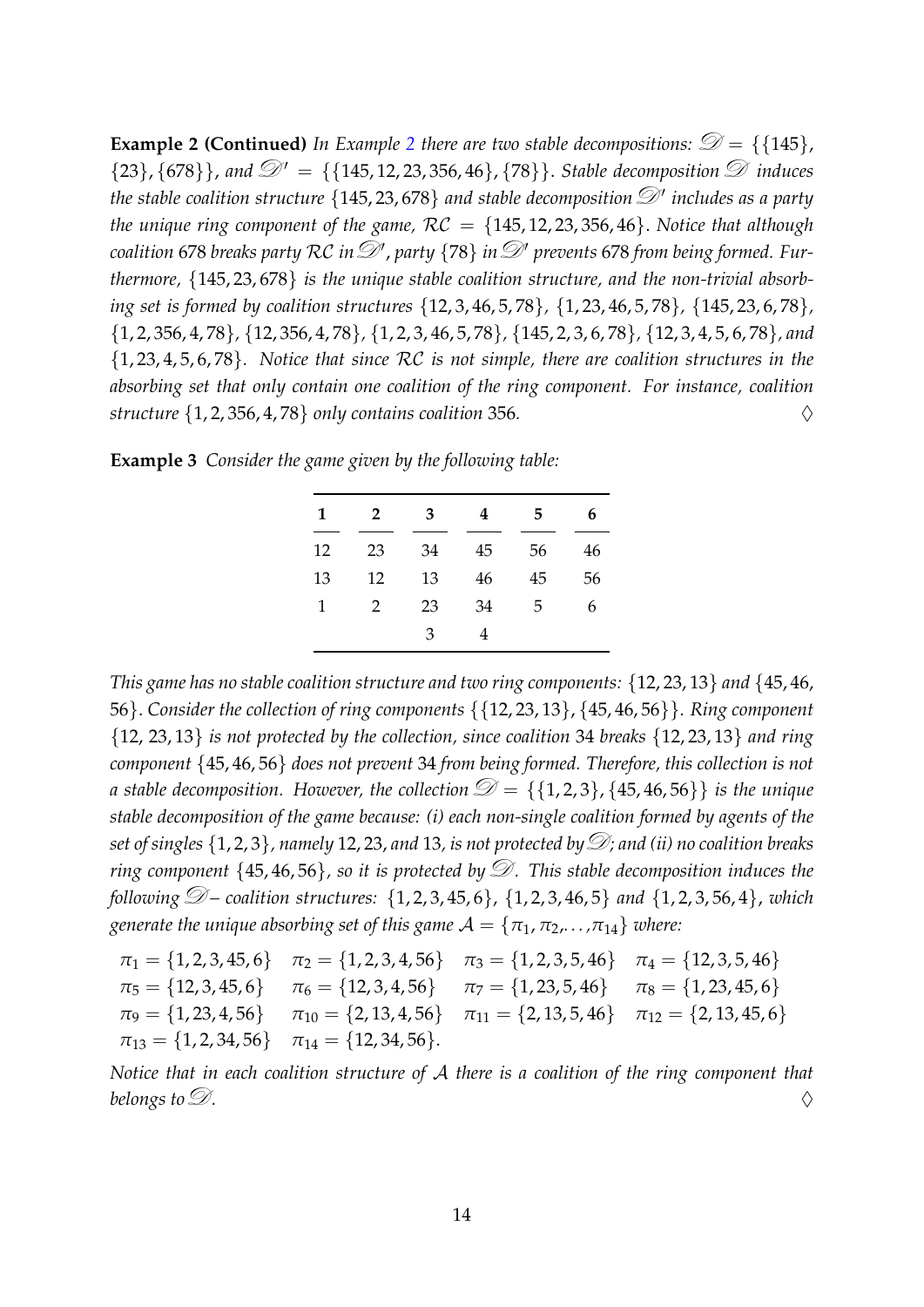**Example [2](#page-11-0) (Continued)** *In Example* 2 *there are two stable decompositions:*  $\mathcal{D} = \{145\}$ ,  $\{23\}, \{678\}\}\$ , and  $\mathcal{D}' = \{\{145, 12, 23, 356, 46\}, \{78\}\}\$ . *Stable decomposition*  $\mathcal D$  *induces the stable coalition structure* {145, 23, 678} *and stable decomposition*D ′ *includes as a party the unique ring component of the game,*  $RC = \{145, 12, 23, 356, 46\}$ . *Notice that although coalition* 678 *breaks party RC in*  $\mathcal{D}'$ , party {78} *in*  $\mathcal{D}'$  prevents 678 from being formed. Fur*thermore,* {145, 23, 678} *is the unique stable coalition structure, and the non-trivial absorbing set is formed by coalition structures* {12, 3, 46, 5, 78}*,* {1, 23, 46, 5, 78}*,* {145, 23, 6, 78}*,* {1, 2, 356, 4, 78}*,* {12, 356, 4, 78}*,* {1, 2, 3, 46, 5, 78}*,* {145, 2, 3, 6, 78}*,* {12, 3, 4, 5, 6, 78}*, and* {1, 23, 4, 5, 6, 78}*. Notice that since* RC *is not simple, there are coalition structures in the absorbing set that only contain one coalition of the ring component. For instance, coalition structure*  $\{1, 2, 356, 4, 78\}$  *only contains coalition* 356.

| <b>Example 3</b> Consider the game given by the following table: |  |  |  |  |  |  |  |  |  |
|------------------------------------------------------------------|--|--|--|--|--|--|--|--|--|
|------------------------------------------------------------------|--|--|--|--|--|--|--|--|--|

| 1  | 2  | 3  | 4  | 5  | 6  |
|----|----|----|----|----|----|
| 12 | 23 | 34 | 45 | 56 | 46 |
| 13 | 12 | 13 | 46 | 45 | 56 |
| 1  | 2  | 23 | 34 | 5  | 6  |
|    |    | 3  | 4  |    |    |

*This game has no stable coalition structure and two ring components:* {12, 23, 13} *and* {45, 46, 56}. *Consider the collection of ring components* {{12, 23, 13}, {45, 46, 56}}*. Ring component* {12, 23, 13} *is not protected by the collection, since coalition* 34 *breaks* {12, 23, 13} *and ring component* {45, 46, 56} *does not prevent* 34 *from being formed. Therefore, this collection is not a* stable decomposition. However, the collection  $\mathcal{D} = \{\{1, 2, 3\}, \{45, 46, 56\}\}\$ is the unique *stable decomposition of the game because: (i) each non-single coalition formed by agents of the set of singles*  $\{1, 2, 3\}$ , *namely* 12, 23, *and* 13, *is not protected by* $\mathcal{D}$ *; and (ii) no coalition breaks ring component* {45,46,56}, so it is protected by  $\mathcal{D}$ . This stable decomposition induces the *following*  $\mathcal{D}$  – coalition structures: {1, 2, 3, 45, 6}, {1, 2, 3, 46, 5} *and* {1, 2, 3, 56, 4}, *which generate the unique absorbing set of this game*  $A = \{\pi_1, \pi_2, \ldots, \pi_{14}\}\$  *where:* 

 $\pi_1 = \{1, 2, 3, 45, 6\}$   $\pi_2 = \{1, 2, 3, 4, 56\}$   $\pi_3 = \{1, 2, 3, 5, 46\}$   $\pi_4 = \{12, 3, 5, 46\}$  $\pi_5 = \{12, 3, 45, 6\}$   $\pi_6 = \{12, 3, 4, 56\}$   $\pi_7 = \{1, 23, 5, 46\}$   $\pi_8 = \{1, 23, 45, 6\}$  $\pi_9 = \{1, 23, 4, 56\}$   $\pi_{10} = \{2, 13, 4, 56\}$   $\pi_{11} = \{2, 13, 5, 46\}$   $\pi_{12} = \{2, 13, 45, 6\}$  $\pi_{13} = \{1, 2, 34, 56\}$   $\pi_{14} = \{12, 34, 56\}.$ 

*Notice that in each coalition structure of* A *there is a coalition of the ring component that belongs to*  $\mathscr{D}$ *.*  $\diamondsuit$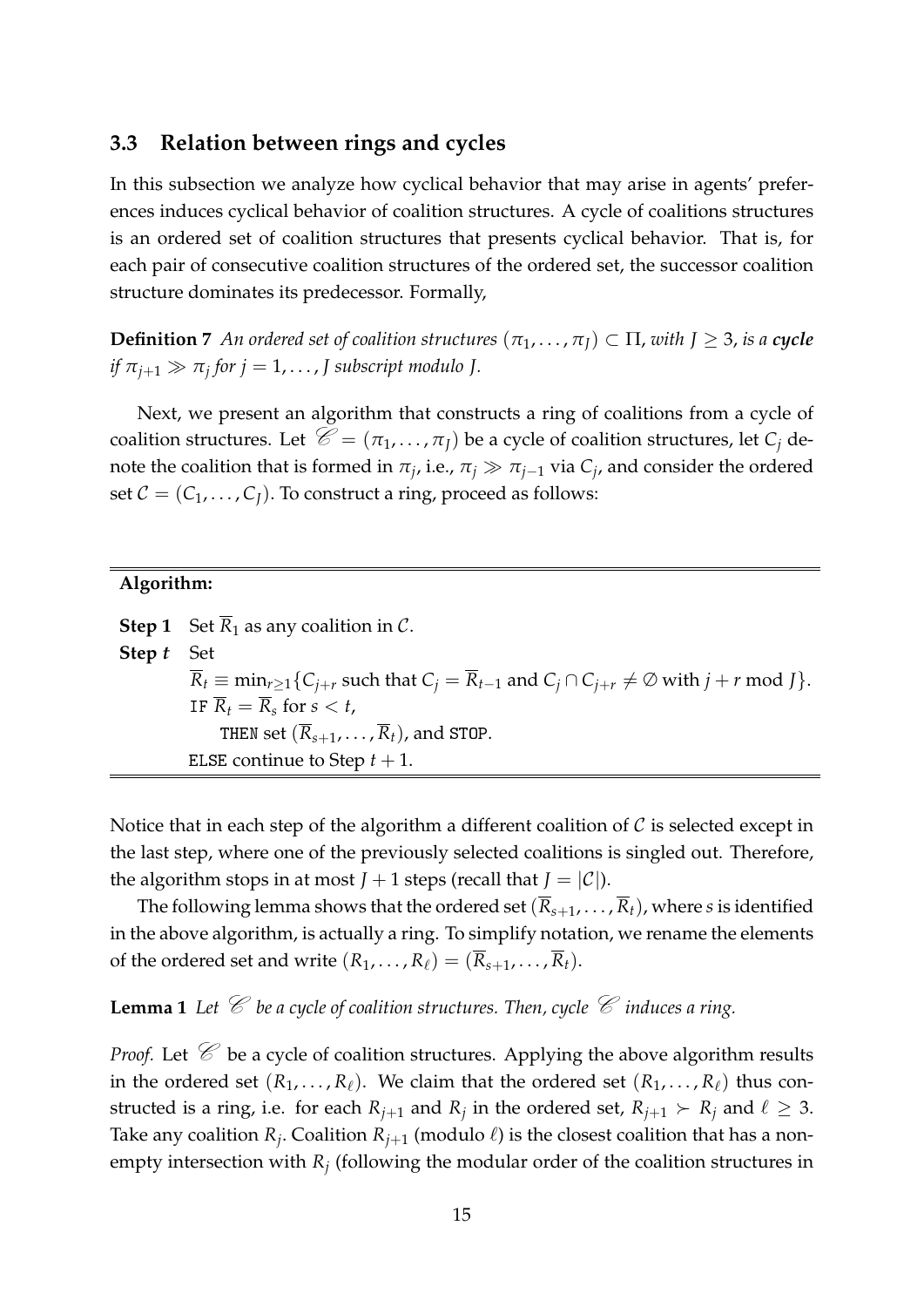#### <span id="page-16-1"></span>**3.3 Relation between rings and cycles**

In this subsection we analyze how cyclical behavior that may arise in agents' preferences induces cyclical behavior of coalition structures. A cycle of coalitions structures is an ordered set of coalition structures that presents cyclical behavior. That is, for each pair of consecutive coalition structures of the ordered set, the successor coalition structure dominates its predecessor. Formally,

**Definition 7** An ordered set of coalition structures  $(\pi_1, \ldots, \pi_I) \subset \Pi$ , with  $J \geq 3$ , is a cycle *if*  $\pi_{j+1} \gg \pi_j$  for  $j = 1, \ldots, J$  subscript modulo J.

Next, we present an algorithm that constructs a ring of coalitions from a cycle of coalition structures. Let  $\mathcal{C} = (\pi_1, \dots, \pi_I)$  be a cycle of coalition structures, let  $C_i$  denote the coalition that is formed in  $\pi_j$ , i.e.,  $\pi_j \gg \pi_{j-1}$  via  $C_j$ , and consider the ordered set  $C = (C_1, \ldots, C_I)$ . To construct a ring, proceed as follows:

#### **Algorithm:**

**Step 1** Set  $\overline{R}_1$  as any coalition in C. **Step** *t* Set  $\overline{R}_t \equiv \min_{r>1} \{C_{j+r} \text{ such that } C_j = \overline{R}_{t-1} \text{ and } C_j \cap C_{j+r} \neq \emptyset \text{ with } j+r \text{ mod } J \}.$ IF  $\overline{R}_t = \overline{R}_s$  for  $s < t$ , THEN set  $(\overline{R}_{s+1}, \ldots, \overline{R}_t)$ , and STOP. ELSE continue to Step  $t + 1$ .

Notice that in each step of the algorithm a different coalition of  $\mathcal C$  is selected except in the last step, where one of the previously selected coalitions is singled out. Therefore, the algorithm stops in at most  $J + 1$  steps (recall that  $J = |\mathcal{C}|$ ).

The following lemma shows that the ordered set  $(\overline{R}_{s+1}, \ldots, \overline{R}_t)$ , where *s* is identified in the above algorithm, is actually a ring. To simplify notation, we rename the elements of the ordered set and write  $(R_1, \ldots, R_\ell) = (\overline{R}_{s+1}, \ldots, \overline{R}_t)$ .

<span id="page-16-0"></span>**Lemma 1** Let  $\mathscr C$  be a cycle of coalition structures. Then, cycle  $\mathscr C$  induces a ring.

*Proof.* Let  $\mathcal{C}$  be a cycle of coalition structures. Applying the above algorithm results in the ordered set  $(R_1, \ldots, R_\ell)$ . We claim that the ordered set  $(R_1, \ldots, R_\ell)$  thus constructed is a ring, i.e. for each  $R_{j+1}$  and  $R_j$  in the ordered set,  $R_{j+1} \succ R_j$  and  $\ell \geq 3$ . Take any coalition  $R_j$ . Coalition  $R_{j+1}$  (modulo  $\ell$ ) is the closest coalition that has a nonempty intersection with *R<sup>j</sup>* (following the modular order of the coalition structures in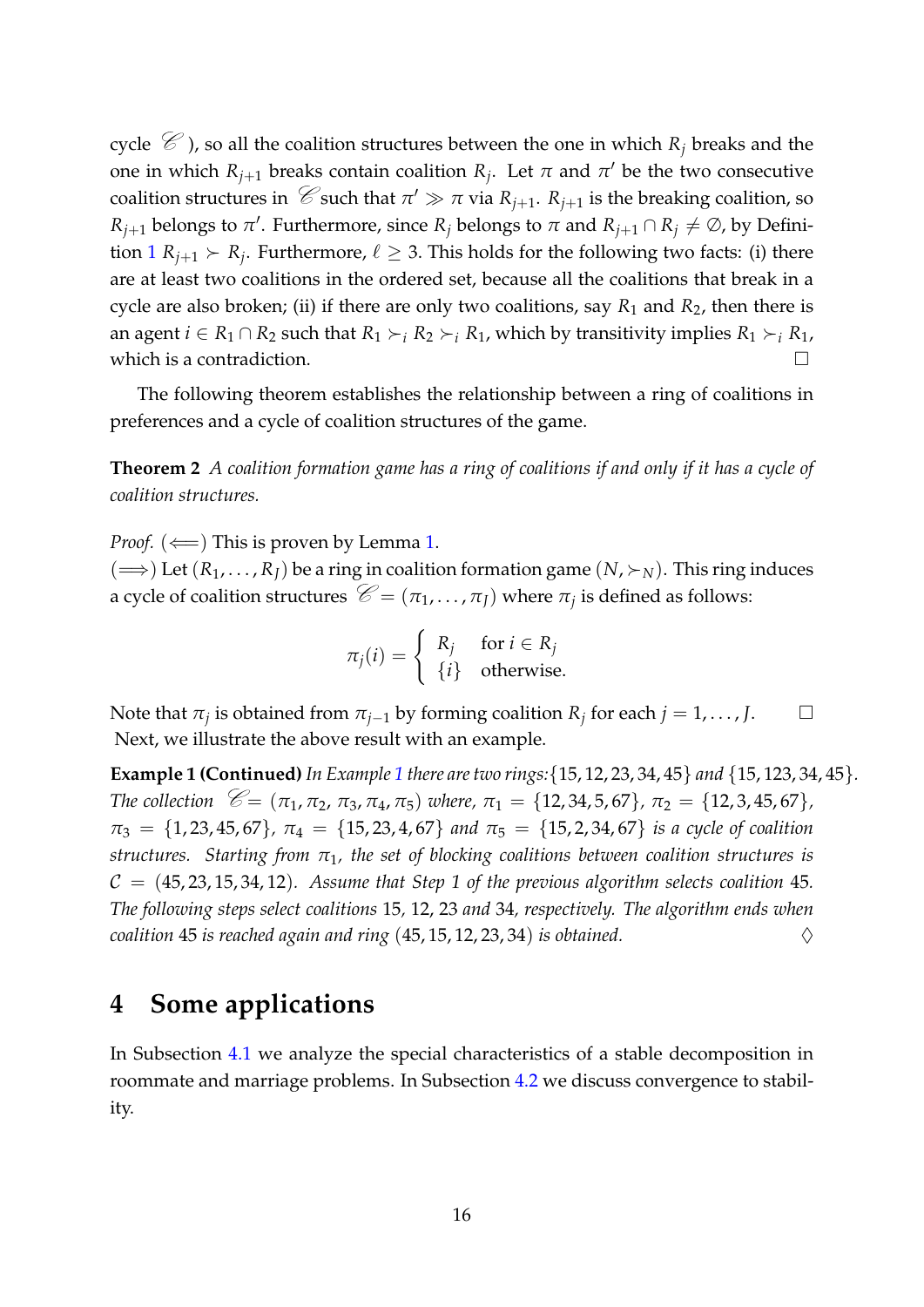cycle  $\mathcal{C}$ ), so all the coalition structures between the one in which  $R_j$  breaks and the one in which  $R_{j+1}$  breaks contain coalition  $R_j$ . Let  $\pi$  and  $\pi'$  be the two consecutive coalition structures in  $\mathcal{C}$  such that  $\pi' \gg \pi$  via  $R_{j+1}$ .  $R_{j+1}$  is the breaking coalition, so *R*<sub>*j*+1</sub> belongs to *π*<sup> $\prime$ </sup>. Furthermore, since *R*<sub>*j*</sub> belongs to *π* and *R*<sub>*j*+1</sub> ∩ *R*<sub>*j*</sub>  $\neq \emptyset$ , by Definition  $1 R_{j+1} \succ R_j$  $1 R_{j+1} \succ R_j$ . Furthermore,  $\ell \geq 3$ . This holds for the following two facts: (i) there are at least two coalitions in the ordered set, because all the coalitions that break in a cycle are also broken; (ii) if there are only two coalitions, say  $R_1$  and  $R_2$ , then there is an agent  $i \in R_1 \cap R_2$  such that  $R_1 \succ_i R_2 \succ_i R_1$ , which by transitivity implies  $R_1 \succ_i R_1$ , which is a contradiction.  $\Box$ 

The following theorem establishes the relationship between a ring of coalitions in preferences and a cycle of coalition structures of the game.

<span id="page-17-0"></span>**Theorem 2** *A coalition formation game has a ring of coalitions if and only if it has a cycle of coalition structures.*

*Proof.*  $(\Leftarrow)$  This is proven by Lemma [1.](#page-16-0)  $(\Longrightarrow)$  Let  $(R_1, \ldots, R_I)$  be a ring in coalition formation game  $(N, \succ_N)$ . This ring induces a cycle of coalition structures  $\mathcal{C} = (\pi_1, ..., \pi_J)$  where  $\pi_j$  is defined as follows:

> $\pi_j(i) = \begin{cases} R_j & \text{for } i \in R_j \\ \text{ (i)} & \text{otherwise} \end{cases}$ {*i*} otherwise.

Note that  $\pi_j$  is obtained from  $\pi_{j-1}$  by forming coalition  $R_j$  for each  $j = 1, \ldots, J$ . □ Next, we illustrate the above result with an example.

**Example 1 (Continued)** *In Example [1](#page-10-3) there are two rings:*{15, 12, 23, 34, 45} *and* {15, 123, 34, 45}*. The collection*  $\mathcal{C} = (\pi_1, \pi_2, \pi_3, \pi_4, \pi_5)$  *where,*  $\pi_1 = \{12, 34, 5, 67\}$ *,*  $\pi_2 = \{12, 3, 45, 67\}$ *,*  $\pi_3 = \{1, 23, 45, 67\}, \ \pi_4 = \{15, 23, 4, 67\}$  *and*  $\pi_5 = \{15, 2, 34, 67\}$  *is a cycle of coalition structures. Starting from π*1*, the set of blocking coalitions between coalition structures is*  $C = (45, 23, 15, 34, 12)$ . Assume that Step 1 of the previous algorithm selects coalition 45. *The following steps select coalitions* 15*,* 12, 23 *and* 34*, respectively. The algorithm ends when coalition* 45 *is reached again and ring*  $(45, 15, 12, 23, 34)$  *is obtained.*  $\diamondsuit$ 

## <span id="page-17-1"></span>**4 Some applications**

In Subsection [4.1](#page-18-0) we analyze the special characteristics of a stable decomposition in roommate and marriage problems. In Subsection [4.2](#page-20-1) we discuss convergence to stability.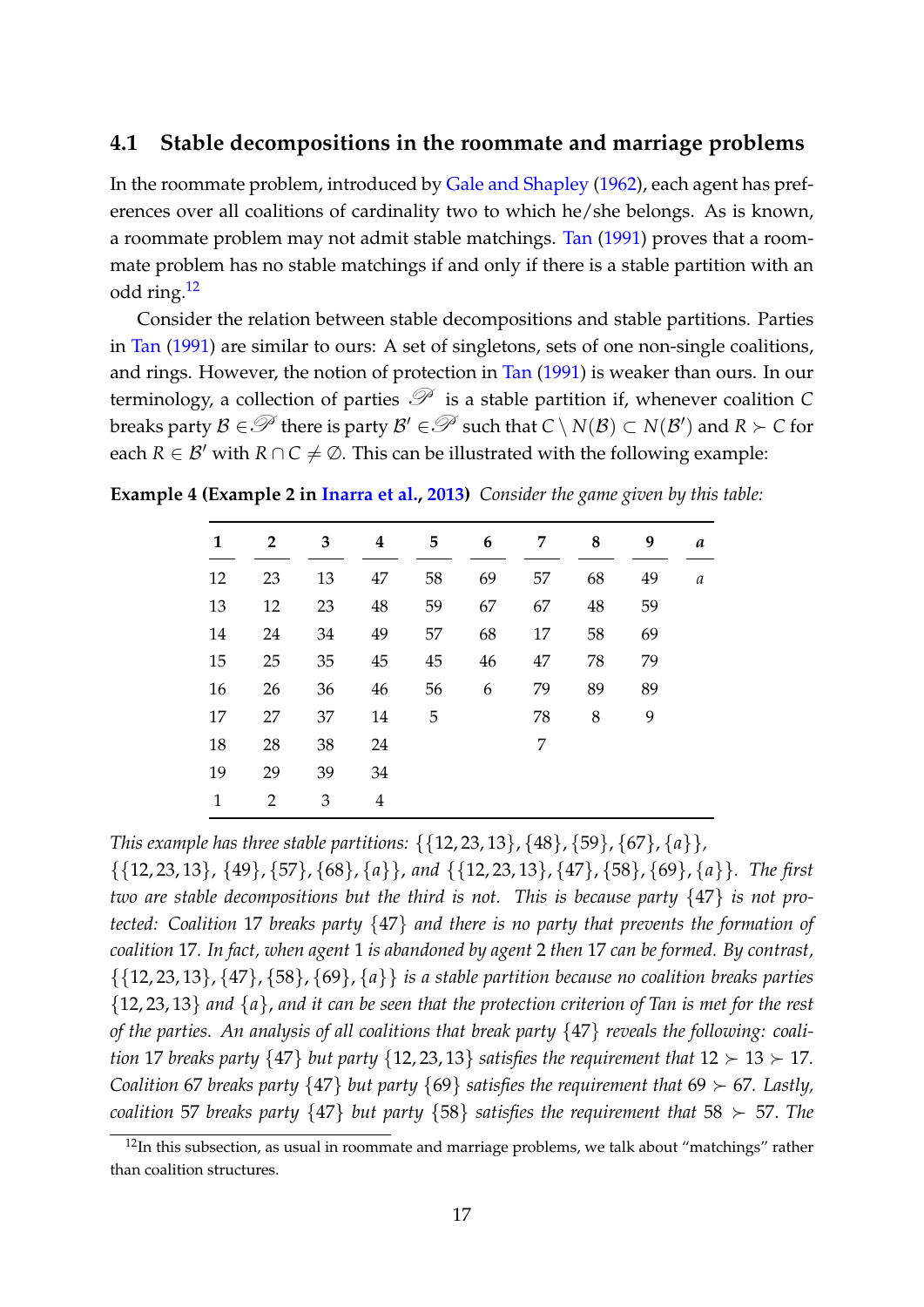#### <span id="page-18-0"></span>**4.1 Stable decompositions in the roommate and marriage problems**

In the roommate problem, introduced by [Gale and Shapley](#page-26-4) [\(1962\)](#page-26-4), each agent has preferences over all coalitions of cardinality two to which he/she belongs. As is known, a roommate problem may not admit stable matchings. [Tan](#page-28-0) [\(1991\)](#page-28-0) proves that a roommate problem has no stable matchings if and only if there is a stable partition with an odd ring.[12](#page-18-1)

Consider the relation between stable decompositions and stable partitions. Parties in [Tan](#page-28-0) [\(1991\)](#page-28-0) are similar to ours: A set of singletons, sets of one non-single coalitions, and rings. However, the notion of protection in [Tan](#page-28-0) [\(1991\)](#page-28-0) is weaker than ours. In our terminology, a collection of parties  $\mathcal{P}$  is a stable partition if, whenever coalition *C*  $\mathcal{B}$  breaks party  $\mathcal{B} \in \mathcal{P}$  there is party  $\mathcal{B}' \in \mathcal{P}$  such that  $C \setminus N(\mathcal{B}) \subset N(\mathcal{B}')$  and  $R \succ C$  for each  $R \in \mathcal{B}'$  with  $R \cap C \neq \emptyset$ . This can be illustrated with the following example:

**Example 4 (Example 2 in [Inarra et al.,](#page-27-1) [2013\)](#page-27-1)** *Consider the game given by this table:*

| 1            | $\mathbf{2}$   | 3  | $\boldsymbol{4}$ | 5  | 6  | 7  | 8  | 9  | a |
|--------------|----------------|----|------------------|----|----|----|----|----|---|
| 12           | 23             | 13 | 47               | 58 | 69 | 57 | 68 | 49 | a |
| 13           | 12             | 23 | 48               | 59 | 67 | 67 | 48 | 59 |   |
| 14           | 24             | 34 | 49               | 57 | 68 | 17 | 58 | 69 |   |
| 15           | 25             | 35 | 45               | 45 | 46 | 47 | 78 | 79 |   |
| 16           | 26             | 36 | 46               | 56 | 6  | 79 | 89 | 89 |   |
| 17           | 27             | 37 | 14               | 5  |    | 78 | 8  | 9  |   |
| 18           | 28             | 38 | 24               |    |    | 7  |    |    |   |
| 19           | 29             | 39 | 34               |    |    |    |    |    |   |
| $\mathbf{1}$ | $\overline{2}$ | 3  | 4                |    |    |    |    |    |   |
|              |                |    |                  |    |    |    |    |    |   |

*This example has three stable partitions:* {{12, 23, 13}, {48}, {59}, {67}, {*a*}}*,*

{{12, 23, 13}, {49}, {57}, {68}, {*a*}}, *and* {{12, 23, 13}, {47}, {58}, {69}, {*a*}}*. The first two are stable decompositions but the third is not. This is because party* {47} *is not protected: Coalition* 17 *breaks party* {47} *and there is no party that prevents the formation of coalition* 17*. In fact, when agent* 1 *is abandoned by agent* 2 *then* 17 *can be formed. By contrast,* {{12, 23, 13}, {47}, {58}, {69}, {*a*}} *is a stable partition because no coalition breaks parties* {12, 23, 13} *and* {*a*}, *and it can be seen that the protection criterion of Tan is met for the rest of the parties. An analysis of all coalitions that break party* {47} *reveals the following: coalition* 17 *breaks party*  $\{47\}$  *but party*  $\{12, 23, 13\}$  *satisfies the requirement that*  $12 \succ 13 \succ 17$ *. Coalition* 67 *breaks party*  $\{47\}$  *but party*  $\{69\}$  *satisfies the requirement that* 69  $\succ$  67*. Lastly*, *coalition* 57 *breaks party*  $\{47\}$  *but party*  $\{58\}$  *satisfies the requirement that* 58 ≻ 57. *The* 

<span id="page-18-1"></span> $12$ In this subsection, as usual in roommate and marriage problems, we talk about "matchings" rather than coalition structures.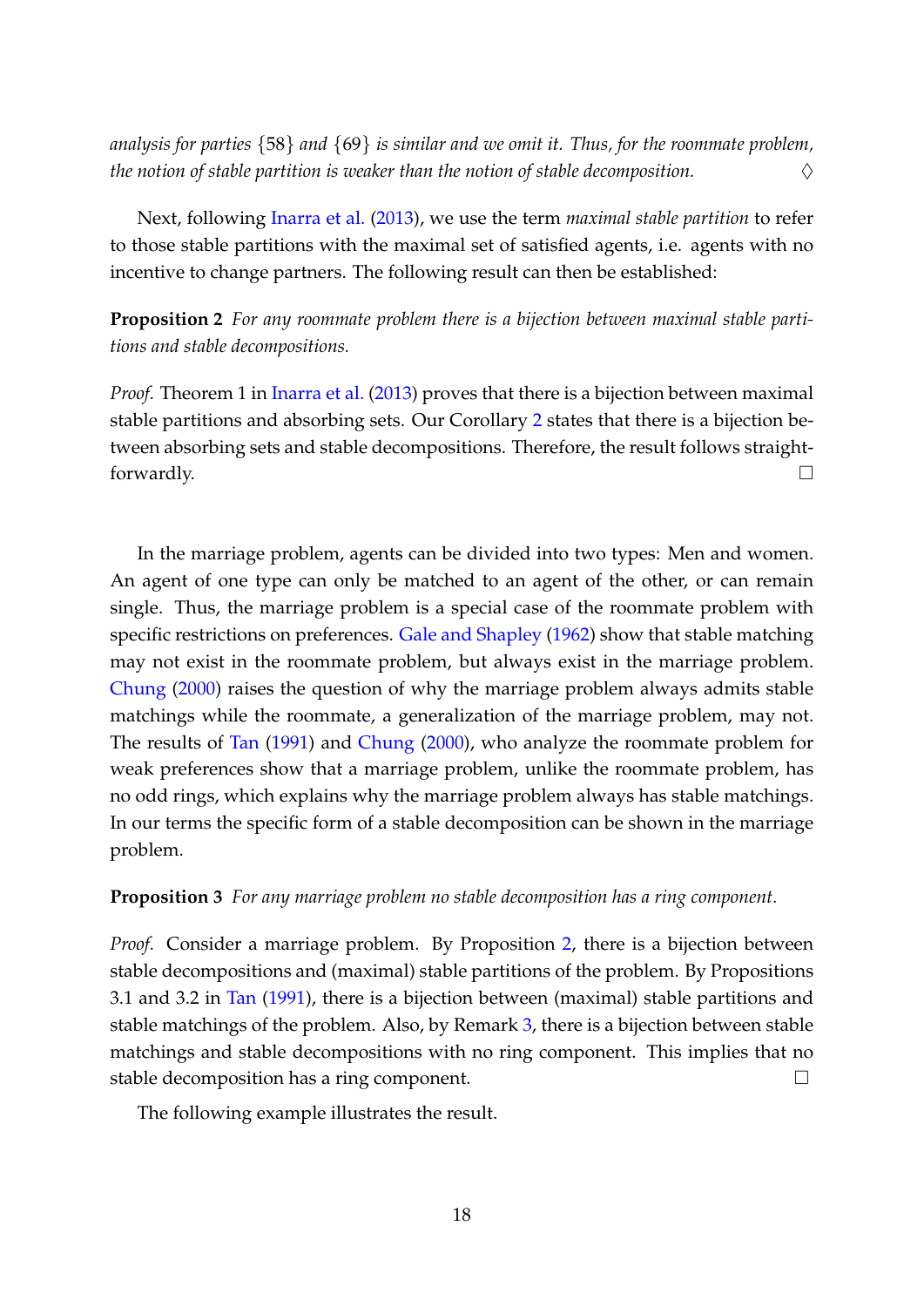*analysis for parties* {58} *and* {69} *is similar and we omit it. Thus, for the roommate problem, the notion of stable partition is weaker than the notion of stable decomposition.* ♢

Next, following [Inarra et al.](#page-27-1) [\(2013\)](#page-27-1), we use the term *maximal stable partition* to refer to those stable partitions with the maximal set of satisfied agents, i.e. agents with no incentive to change partners. The following result can then be established:

<span id="page-19-0"></span>**Proposition 2** *For any roommate problem there is a bijection between maximal stable partitions and stable decompositions.*

*Proof.* Theorem 1 in *[Inarra et al.](#page-27-1)* [\(2013\)](#page-27-1) proves that there is a bijection between maximal stable partitions and absorbing sets. Our Corollary [2](#page-14-2) states that there is a bijection between absorbing sets and stable decompositions. Therefore, the result follows straightforwardly.  $\Box$ 

In the marriage problem, agents can be divided into two types: Men and women. An agent of one type can only be matched to an agent of the other, or can remain single. Thus, the marriage problem is a special case of the roommate problem with specific restrictions on preferences. [Gale and Shapley](#page-26-4) [\(1962\)](#page-26-4) show that stable matching may not exist in the roommate problem, but always exist in the marriage problem. [Chung](#page-26-1) [\(2000\)](#page-26-1) raises the question of why the marriage problem always admits stable matchings while the roommate, a generalization of the marriage problem, may not. The results of [Tan](#page-28-0) [\(1991\)](#page-28-0) and [Chung](#page-26-1) [\(2000\)](#page-26-1), who analyze the roommate problem for weak preferences show that a marriage problem, unlike the roommate problem, has no odd rings, which explains why the marriage problem always has stable matchings. In our terms the specific form of a stable decomposition can be shown in the marriage problem.

#### <span id="page-19-1"></span>**Proposition 3** *For any marriage problem no stable decomposition has a ring component.*

*Proof.* Consider a marriage problem. By Proposition [2,](#page-19-0) there is a bijection between stable decompositions and (maximal) stable partitions of the problem. By Propositions 3.1 and 3.2 in [Tan](#page-28-0) [\(1991\)](#page-28-0), there is a bijection between (maximal) stable partitions and stable matchings of the problem. Also, by Remark [3,](#page-13-0) there is a bijection between stable matchings and stable decompositions with no ring component. This implies that no stable decomposition has a ring component.  $□$ 

The following example illustrates the result.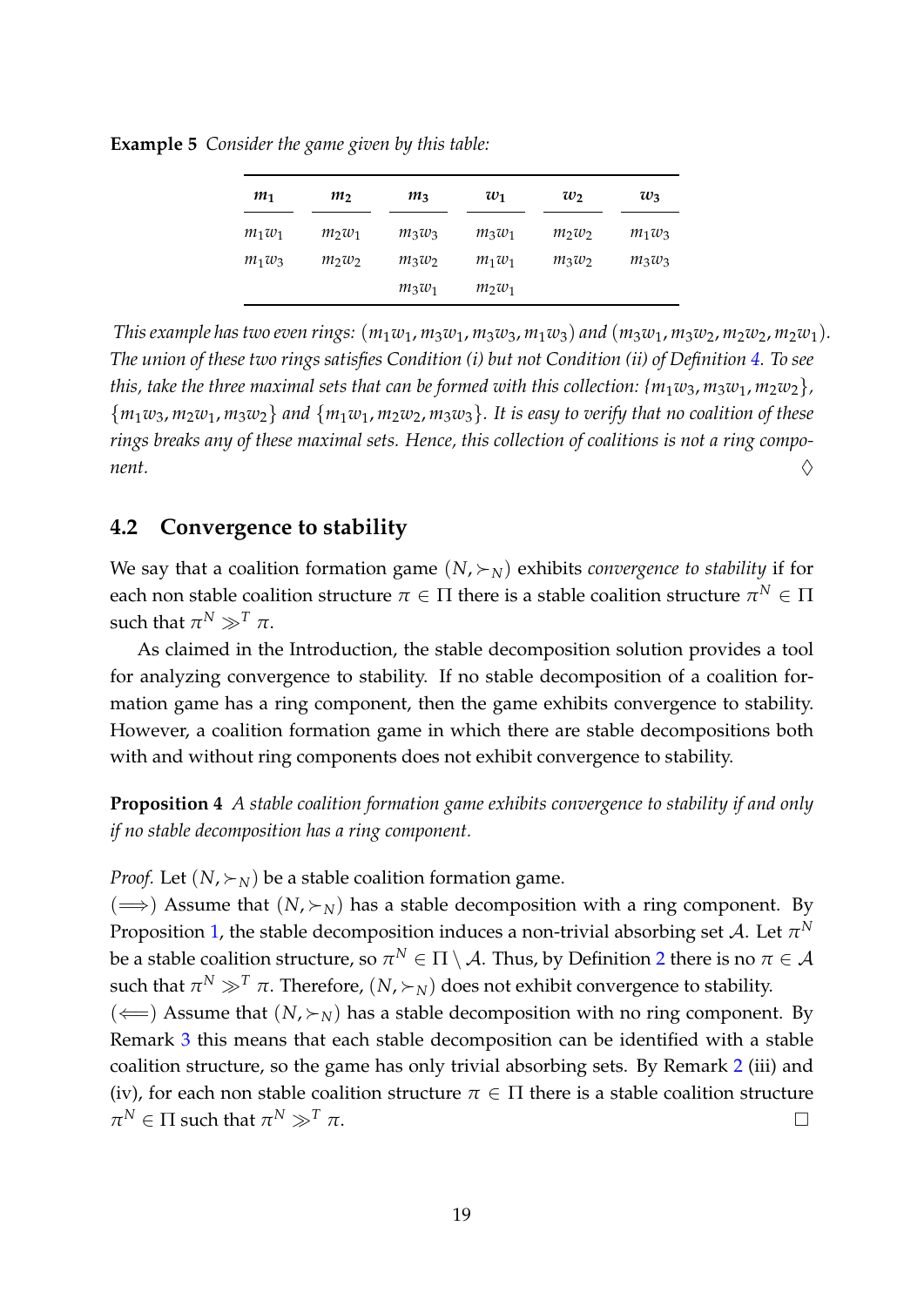| m <sub>1</sub> | m <sub>2</sub> | $m_3$    | $w_1$    | $w_2$    | $w_3$    |
|----------------|----------------|----------|----------|----------|----------|
| $m_1w_1$       | $m_2w_1$       | $m_3w_3$ | $m_3w_1$ | $m_2w_2$ | $m_1w_3$ |
| $m_1w_3$       | $m_2w_2$       | $m_3w_2$ | $m_1w_1$ | $m_3w_2$ | $m_3w_3$ |
|                |                | $m_3w_1$ | $m_2w_1$ |          |          |

**Example 5** *Consider the game given by this table:*

*This example has two even rings:*  $(m_1w_1, m_3w_1, m_3w_3, m_1w_3)$  *and*  $(m_3w_1, m_3w_2, m_2w_2, m_2w_1)$ *. The union of these two rings satisfies Condition (i) but not Condition (ii) of Definition [4.](#page-10-2) To see this, take the three maximal sets that can be formed with this collection:*  $\{m_1w_3, m_3w_1, m_2w_2\}$ *,* {*m*1*w*3, *m*2*w*1, *m*3*w*2} *and* {*m*1*w*1, *m*2*w*2, *m*3*w*3}*. It is easy to verify that no coalition of these rings breaks any of these maximal sets. Hence, this collection of coalitions is not a ring component.* ♢

#### <span id="page-20-1"></span>**4.2 Convergence to stability**

We say that a coalition formation game  $(N, \succ_N)$  exhibits *convergence to stability* if for each non stable coalition structure  $\pi \in \Pi$  there is a stable coalition structure  $\pi^N \in \Pi$ such that  $\pi^N \gg^T \pi$ .

As claimed in the Introduction, the stable decomposition solution provides a tool for analyzing convergence to stability. If no stable decomposition of a coalition formation game has a ring component, then the game exhibits convergence to stability. However, a coalition formation game in which there are stable decompositions both with and without ring components does not exhibit convergence to stability.

<span id="page-20-0"></span>**Proposition 4** *A stable coalition formation game exhibits convergence to stability if and only if no stable decomposition has a ring component.*

*Proof.* Let  $(N, \succ_N)$  be a stable coalition formation game.

( $\implies$ ) Assume that (*N*,  $\succ$ <sub>*N*</sub>) has a stable decomposition with a ring component. By Proposition [1,](#page-13-1) the stable decomposition induces a non-trivial absorbing set  ${\cal A}.$  Let  $\pi^N$ be a stable coalition structure, so  $\pi^N\in\Pi\setminus\mathcal A.$  Thus, by Definition  $2$  there is no  $\pi\in\mathcal A$ such that  $\pi^N \gg^T \pi$ . Therefore,  $(N, \succ_N)$  does not exhibit convergence to stability.  $(\Leftarrow)$  Assume that  $(N, \succ_N)$  has a stable decomposition with no ring component. By Remark [3](#page-13-0) this means that each stable decomposition can be identified with a stable coalition structure, so the game has only trivial absorbing sets. By Remark [2](#page-9-1) (iii) and (iv), for each non stable coalition structure  $\pi \in \Pi$  there is a stable coalition structure  $\pi^N \in \Pi$  such that  $\pi^N \gg^T \pi$ .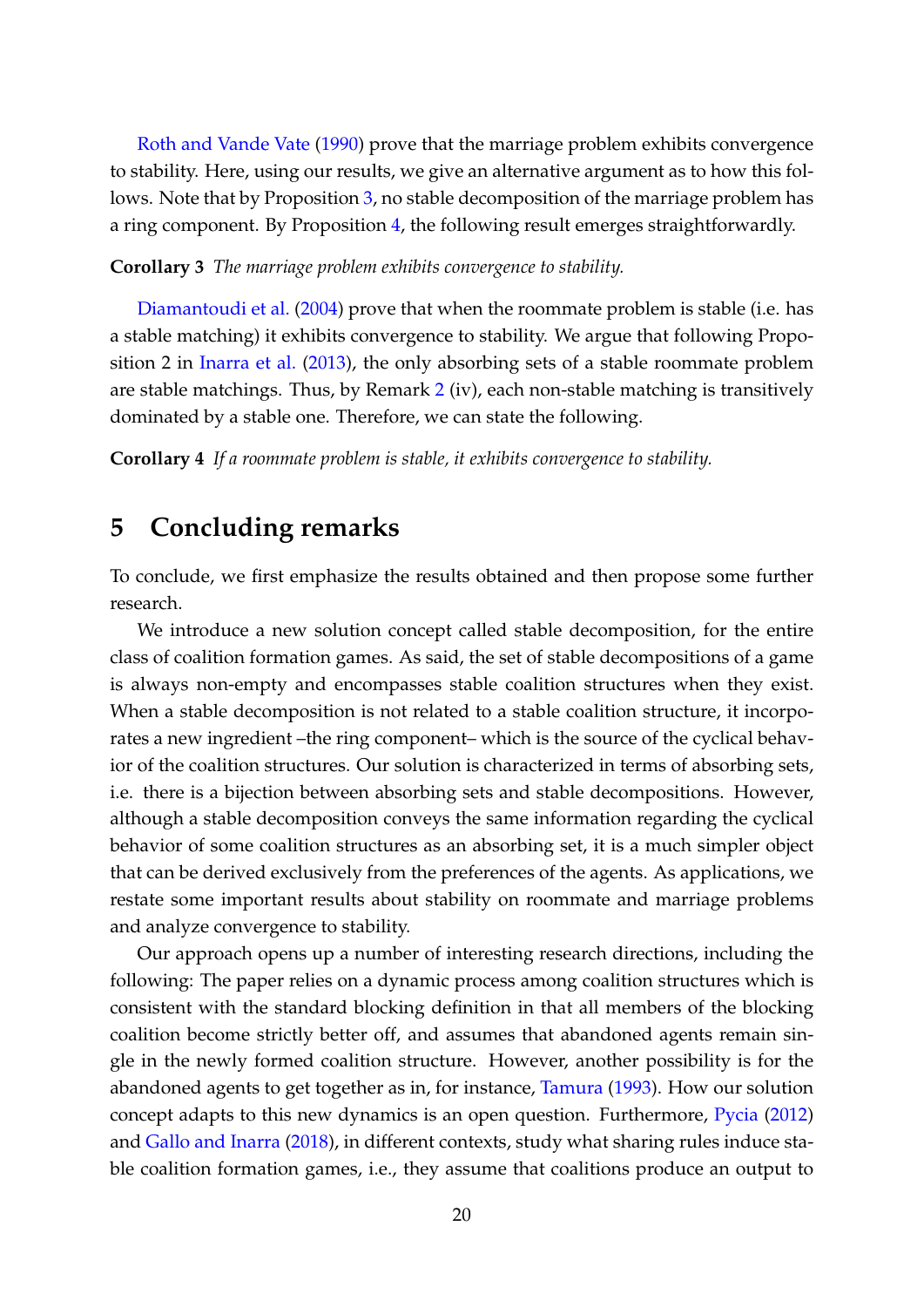[Roth and Vande Vate](#page-27-6) [\(1990\)](#page-27-6) prove that the marriage problem exhibits convergence to stability. Here, using our results, we give an alternative argument as to how this follows. Note that by Proposition [3,](#page-19-1) no stable decomposition of the marriage problem has a ring component. By Proposition [4,](#page-20-0) the following result emerges straightforwardly.

#### <span id="page-21-0"></span>**Corollary 3** *The marriage problem exhibits convergence to stability.*

[Diamantoudi et al.](#page-26-3) [\(2004\)](#page-26-3) prove that when the roommate problem is stable (i.e. has a stable matching) it exhibits convergence to stability. We argue that following Proposition 2 in [Inarra et al.](#page-27-1) [\(2013\)](#page-27-1), the only absorbing sets of a stable roommate problem are stable matchings. Thus, by Remark [2](#page-9-1) (iv), each non-stable matching is transitively dominated by a stable one. Therefore, we can state the following.

<span id="page-21-1"></span>**Corollary 4** *If a roommate problem is stable, it exhibits convergence to stability.*

## <span id="page-21-2"></span>**5 Concluding remarks**

To conclude, we first emphasize the results obtained and then propose some further research.

We introduce a new solution concept called stable decomposition, for the entire class of coalition formation games. As said, the set of stable decompositions of a game is always non-empty and encompasses stable coalition structures when they exist. When a stable decomposition is not related to a stable coalition structure, it incorporates a new ingredient –the ring component– which is the source of the cyclical behavior of the coalition structures. Our solution is characterized in terms of absorbing sets, i.e. there is a bijection between absorbing sets and stable decompositions. However, although a stable decomposition conveys the same information regarding the cyclical behavior of some coalition structures as an absorbing set, it is a much simpler object that can be derived exclusively from the preferences of the agents. As applications, we restate some important results about stability on roommate and marriage problems and analyze convergence to stability.

Our approach opens up a number of interesting research directions, including the following: The paper relies on a dynamic process among coalition structures which is consistent with the standard blocking definition in that all members of the blocking coalition become strictly better off, and assumes that abandoned agents remain single in the newly formed coalition structure. However, another possibility is for the abandoned agents to get together as in, for instance, [Tamura](#page-28-4) [\(1993\)](#page-28-4). How our solution concept adapts to this new dynamics is an open question. Furthermore, [Pycia](#page-27-11) [\(2012\)](#page-27-11) and [Gallo and Inarra](#page-27-13) [\(2018\)](#page-27-13), in different contexts, study what sharing rules induce stable coalition formation games, i.e., they assume that coalitions produce an output to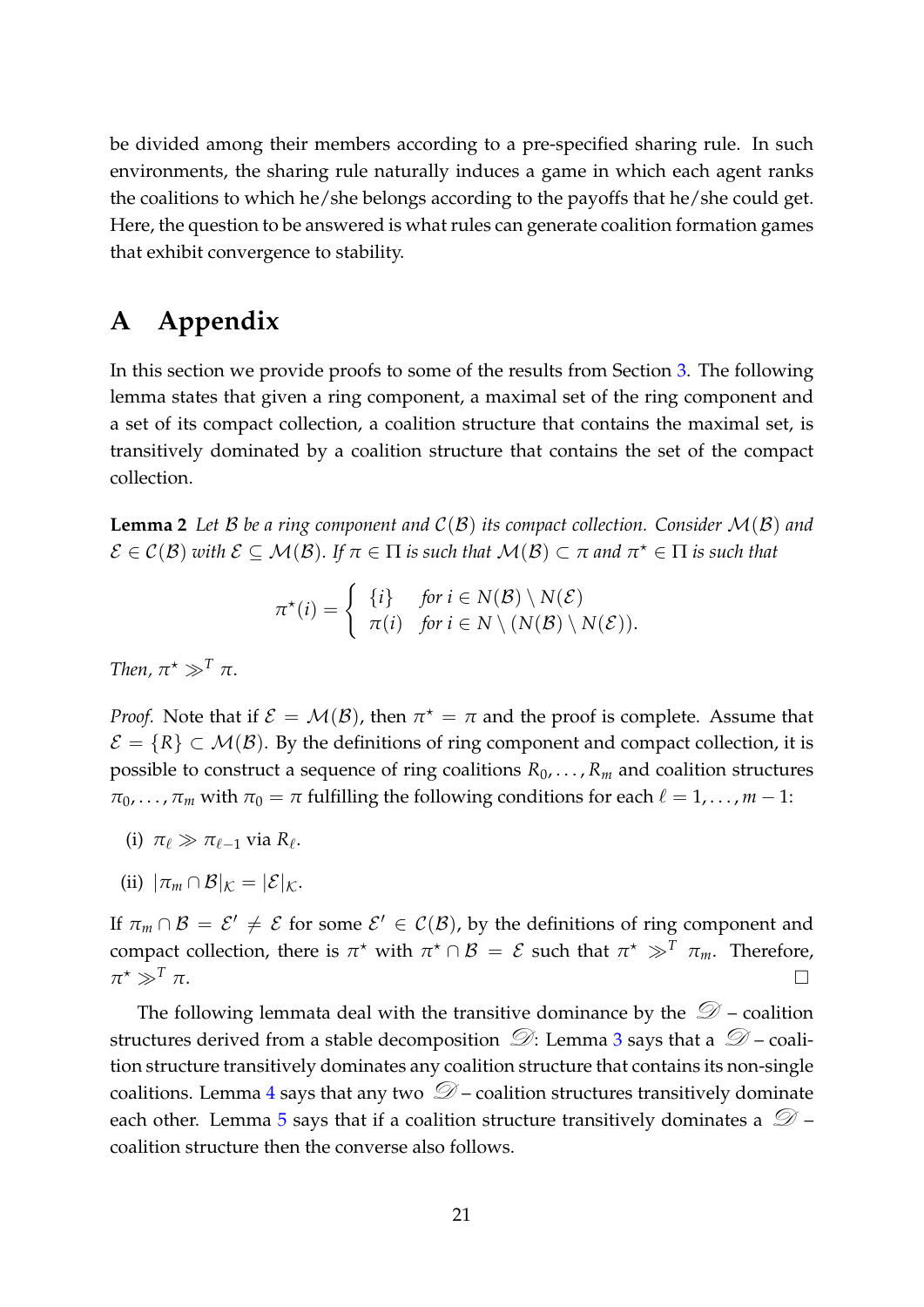be divided among their members according to a pre-specified sharing rule. In such environments, the sharing rule naturally induces a game in which each agent ranks the coalitions to which he/she belongs according to the payoffs that he/she could get. Here, the question to be answered is what rules can generate coalition formation games that exhibit convergence to stability.

## <span id="page-22-0"></span>**A Appendix**

In this section we provide proofs to some of the results from Section [3.](#page-9-0) The following lemma states that given a ring component, a maximal set of the ring component and a set of its compact collection, a coalition structure that contains the maximal set, is transitively dominated by a coalition structure that contains the set of the compact collection.

<span id="page-22-2"></span>**Lemma 2** Let B be a ring component and  $C(B)$  its compact collection. Consider  $\mathcal{M}(B)$  and  $\mathcal{E}\in\mathcal{C}(\mathcal{B})$  with  $\mathcal{E}\subseteq\mathcal{M}(\mathcal{B})$ . If  $\pi\in\Pi$  is such that  $\mathcal{M}(\mathcal{B})\subset\pi$  and  $\pi^\star\in\Pi$  is such that

$$
\pi^*(i) = \begin{cases} \{i\} & \text{for } i \in N(\mathcal{B}) \setminus N(\mathcal{E}) \\ \pi(i) & \text{for } i \in N \setminus (N(\mathcal{B}) \setminus N(\mathcal{E})). \end{cases}
$$

*Then,*  $\pi^* \gg^T \pi$ .

*Proof.* Note that if  $\mathcal{E} = \mathcal{M}(\mathcal{B})$ , then  $\pi^* = \pi$  and the proof is complete. Assume that  $\mathcal{E} = \{R\} \subset \mathcal{M}(\mathcal{B})$ . By the definitions of ring component and compact collection, it is possible to construct a sequence of ring coalitions  $R_0, \ldots, R_m$  and coalition structures  $\pi_0, \ldots, \pi_m$  with  $\pi_0 = \pi$  fulfilling the following conditions for each  $\ell = 1, \ldots, m - 1$ :

- (i)  $\pi_{\ell} \gg \pi_{\ell-1}$  via  $R_{\ell}$ .
- (ii)  $|\pi_m \cap \mathcal{B}|_K = |\mathcal{E}|_K$ .

If  $\pi_m \cap B = \mathcal{E}' \neq \mathcal{E}$  for some  $\mathcal{E}' \in \mathcal{C}(B)$ , by the definitions of ring component and compact collection, there is  $\pi^*$  with  $\pi^* \cap B = \mathcal{E}$  such that  $\pi^* \gg^T \pi_m$ . Therefore,  $\pi^* \gg^T \pi$ .  $\rightarrow$   $\gg$ <sup>T</sup>  $\pi$ .

<span id="page-22-1"></span>The following lemmata deal with the transitive dominance by the  $\mathcal{D}$  – coalition structures derived from a stable decomposition  $\mathcal{D}$ : Lemma [3](#page-22-1) says that a  $\mathcal{D}$  – coalition structure transitively dominates any coalition structure that contains its non-single coalitions. Lemma [4](#page-24-0) says that any two  $\mathcal{D}$  – coalition structures transitively dominate each other. Lemma [5](#page-25-0) says that if a coalition structure transitively dominates a  $\mathcal{D}$  – coalition structure then the converse also follows.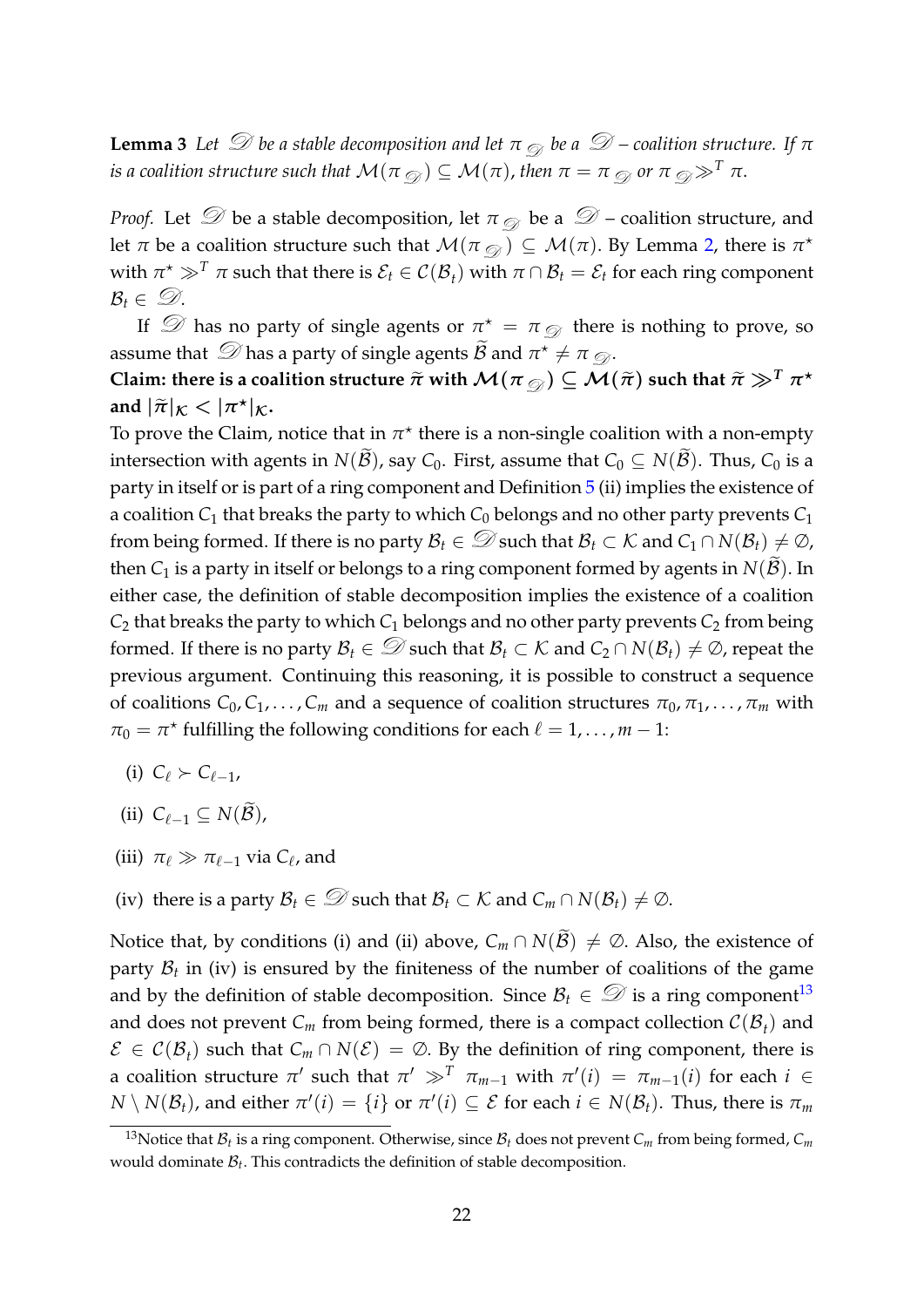**Lemma 3** Let  $\mathcal{D}$  be a stable decomposition and let  $\pi$   $\otimes$  be a  $\mathcal{D}$  – coalition structure. If  $\pi$ *is a coalition structure such that*  $\mathcal{M}(\pi_{\mathcal{D}}) \subseteq \mathcal{M}(\pi)$ , *then*  $\pi = \pi_{\mathcal{D}}$  *or*  $\pi_{\mathcal{D}} \gg^T \pi$ .

*Proof.* Let  $\mathcal D$  be a stable decomposition, let  $\pi_{\mathcal D}$  be a  $\mathcal D$  – coalition structure, and let  $\pi$  be a coalition structure such that  $\mathcal{M}(\pi_{\mathcal{D}}) \subseteq \mathcal{M}(\pi)$ . By Lemma [2,](#page-22-2) there is  $\pi^\star$ with  $\pi^* \gg^T \pi$  such that there is  $\mathcal{E}_t \in \mathcal{C}(\mathcal{B}_t)$  with  $\pi \cap \mathcal{B}_t = \mathcal{E}_t$  for each ring component  $\mathcal{B}_t \in \mathcal{D}$ .

If  $\mathcal D$  has no party of single agents or  $\pi^* = \pi_{\mathcal D}$  there is nothing to prove, so assume that  $\mathcal{D}$  has a party of single agents  $\widetilde{\mathcal{B}}$  and  $\pi^* \neq \pi$   $\mathcal{D}$ .

Claim: there is a coalition structure  $\widetilde{\pi}$  with  $\mathcal{M}(\pi_{\mathcal{D}}) \subseteq \mathcal{M}(\widetilde{\pi})$  such that  $\widetilde{\pi} \gg^T \pi^*$ and  $|\tilde{\pi}|_K < |\pi^*|_K$ .

To prove the Claim, notice that in  $\pi^*$  there is a non-single coalition with a non-empty intersection with agents in *N*( $\widetilde{B}$ ), say *C*<sub>0</sub>. First, assume that *C*<sub>0</sub>  $\subseteq$  *N*( $\widetilde{B}$ ). Thus, *C*<sub>0</sub> is a party in itself or is part of a ring component and Definition [5](#page-12-2) (ii) implies the existence of a coalition *C*<sup>1</sup> that breaks the party to which *C*<sup>0</sup> belongs and no other party prevents *C*<sup>1</sup> from being formed. If there is no party  $B_t \in \mathcal{D}$  such that  $B_t \subset \mathcal{K}$  and  $C_1 \cap N(B_t) \neq \mathcal{D}$ , then  $C_1$  is a party in itself or belongs to a ring component formed by agents in  $N(\mathcal{B})$ . In either case, the definition of stable decomposition implies the existence of a coalition  $C_2$  that breaks the party to which  $C_1$  belongs and no other party prevents  $C_2$  from being formed. If there is no party  $\mathcal{B}_t \in \mathcal{D}$  such that  $\mathcal{B}_t \subset \mathcal{K}$  and  $C_2 \cap N(\mathcal{B}_t) \neq \mathcal{D}$ , repeat the previous argument. Continuing this reasoning, it is possible to construct a sequence of coalitions  $C_0, C_1, \ldots, C_m$  and a sequence of coalition structures  $\pi_0, \pi_1, \ldots, \pi_m$  with  $\pi_0 = \pi^*$  fulfilling the following conditions for each  $\ell = 1, \ldots, m-1$ :

- (i)  $C_{\ell} \succ C_{\ell-1}$
- (ii)  $C_{\ell-1} \subseteq N(\widetilde{\mathcal{B}})$ ,
- (iii)  $\pi_{\ell} \gg \pi_{\ell-1}$  via  $C_{\ell}$ , and
- (iv) there is a party  $\mathcal{B}_t \in \mathcal{D}$  such that  $\mathcal{B}_t \subset \mathcal{K}$  and  $C_m \cap N(\mathcal{B}_t) \neq \emptyset$ .

Notice that, by conditions (i) and (ii) above,  $C_m \cap N(\widetilde{B}) \neq \emptyset$ . Also, the existence of party  $B_t$  in (iv) is ensured by the finiteness of the number of coalitions of the game and by the definition of stable decomposition. Since  $\mathcal{B}_t \in \mathcal{D}$  is a ring component<sup>[13](#page-23-0)</sup> and does not prevent  $C_m$  from being formed, there is a compact collection  $\mathcal{C}(\mathcal{B}_t)$  and  $\mathcal{E} \in \mathcal{C}(\mathcal{B}_t)$  such that  $C_m \cap N(\mathcal{E}) = \emptyset$ . By the definition of ring component, there is a coalition structure  $\pi'$  such that  $\pi' \gg^T \pi_{m-1}$  with  $\pi'(i) = \pi_{m-1}(i)$  for each  $i \in$  $N \setminus N(\mathcal{B}_t)$ , and either  $\pi'(i) = \{i\}$  or  $\pi'(i) \subseteq \mathcal{E}$  for each  $i \in N(\mathcal{B}_t)$ . Thus, there is  $\pi_m$ 

<span id="page-23-0"></span> $^{13}$ Notice that  $\mathcal{B}_t$  is a ring component. Otherwise, since  $\mathcal{B}_t$  does not prevent  $C_m$  from being formed,  $C_m$ would dominate B*<sup>t</sup>* . This contradicts the definition of stable decomposition.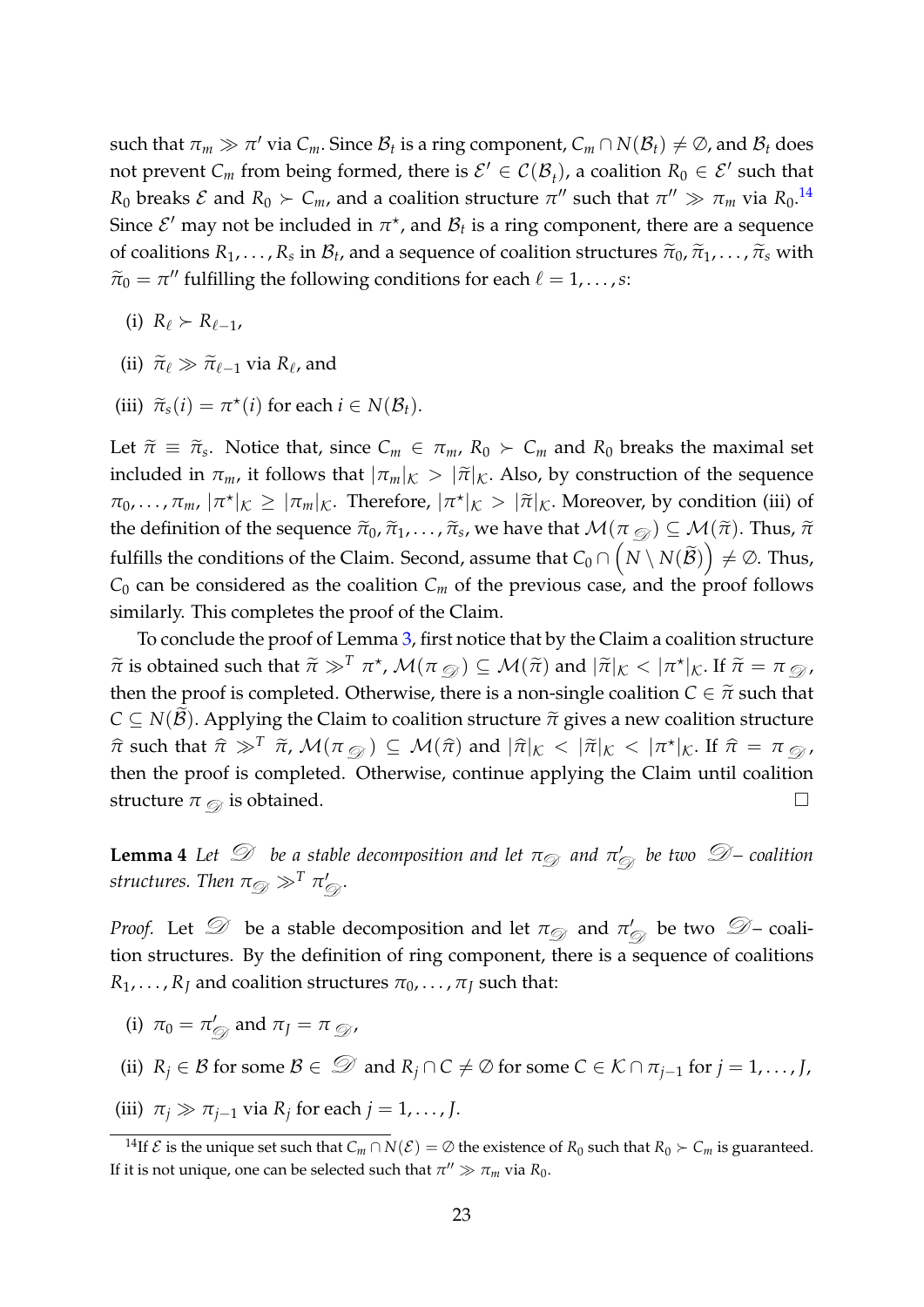such that  $\pi_m \gg \pi'$  via  $C_m$ . Since  $\mathcal{B}_t$  is a ring component,  $C_m \cap N(\mathcal{B}_t) \neq \emptyset$ , and  $\mathcal{B}_t$  does not prevent  $C_m$  from being formed, there is  $\mathcal{E}' \in \mathcal{C}(\mathcal{B}_t)$ , a coalition  $R_0 \in \mathcal{E}'$  such that *R*<sub>0</sub> breaks *E* and  $R_0 \succ C_m$ , and a coalition structure  $\pi''$  such that  $\pi'' \gg \pi_m$  via  $R_0$ .<sup>[14](#page-24-1)</sup> Since  $\mathcal{E}'$  may not be included in  $\pi^*$ , and  $\mathcal{B}_t$  is a ring component, there are a sequence of coalitions  $R_1, \ldots, R_s$  in  $\mathcal{B}_t$ , and a sequence of coalition structures  $\tilde{\pi}_0, \tilde{\pi}_1, \ldots, \tilde{\pi}_s$  with  $\tilde{\pi}_s$  $\widetilde{\pi}_0 = \pi''$  fulfilling the following conditions for each  $\ell = 1, \ldots, s$ :

- (i)  $R_{\ell} > R_{\ell-1}$ ,
- (ii)  $\widetilde{\pi}_{\ell} \gg \widetilde{\pi}_{\ell-1}$  via  $R_{\ell}$ , and
- (iii)  $\widetilde{\pi}_s(i) = \pi^*(i)$  for each  $i \in N(\mathcal{B}_t)$ .

Let  $\tilde{\pi} \equiv \tilde{\pi}_s$ . Notice that, since  $C_m \in \pi_m$ ,  $R_0 \succ C_m$  and  $R_0$  breaks the maximal set included in  $\pi_m$ , it follows that  $|\pi_m|_K > |\tilde{\pi}|_K$ . Also, by construction of the sequence  $\pi_0, \ldots, \pi_m, |\pi^*|_K \geq |\pi_m|_K$ . Therefore,  $|\pi^*|_K > |\tilde{\pi}|_K$ . Moreover, by condition (iii) of the definition of the sequence  $\widetilde{\pi}_0$ ,  $\widetilde{\pi}_1$ , . . . ,  $\widetilde{\pi}_s$ , we have that  $\mathcal{M}(\pi_{\mathcal{D}}) \subseteq \mathcal{M}(\widetilde{\pi})$ . Thus,  $\widetilde{\pi}$ fulfills the conditions of the Claim. Second, assume that  $C_0 \cap \left( N \setminus N(\widetilde{\mathcal{B}}) \right) \neq \varnothing$ . Thus,  $C_0$  can be considered as the coalition  $C_m$  of the previous case, and the proof follows similarly. This completes the proof of the Claim.

To conclude the proof of Lemma [3,](#page-22-1) first notice that by the Claim a coalition structure  $\widetilde{\pi}$  is obtained such that  $\widetilde{\pi} \gg^T \pi^*$ ,  $\mathcal{M}(\pi_{\mathcal{D}}) \subseteq \mathcal{M}(\widetilde{\pi})$  and  $|\widetilde{\pi}|_K < |\pi^*|_K$ . If  $\widetilde{\pi} = \pi_{\mathcal{D}}$ , then the proof is completed. Otherwise, there is a non-single coalition  $C \in \tilde{\pi}$  such that  $C \subseteq N(\mathcal{B})$ . Applying the Claim to coalition structure  $\tilde{\pi}$  gives a new coalition structure  $\hat{\pi}$  such that  $\hat{\pi} \gg^T \tilde{\pi}$ ,  $\mathcal{M}(\pi_{\mathcal{D}}) \subseteq \mathcal{M}(\hat{\pi})$  and  $|\hat{\pi}|_K < |\tilde{\pi}|_K < |\pi^*|_K$ . If  $\hat{\pi} = \pi_{\mathcal{D}}$ , then the proof is completed. Otherwise, continue applying the Claim until coalition structure  $\pi_{\mathcal{D}}$  is obtained.  $\Box$ 

<span id="page-24-0"></span>**Lemma 4** *Let*  $\mathscr{D}$  *be a stable decomposition and let*  $\pi_{\mathscr{D}}$  *and*  $\pi_{\mathscr{D}}'$  *be two*  $\mathscr{D}$ *– coalition*  $\textit{structures. Then } \pi_{\textit{D}} \gg^T \pi'_{\textit{D}}.$ 

*Proof.* Let  $\mathscr{D}$  be a stable decomposition and let  $\pi_{\mathscr{D}}$  and  $\pi_{\mathscr{D}}'$  be two  $\mathscr{D}$ – coalition structures. By the definition of ring component, there is a sequence of coalitions  $R_1, \ldots, R_I$  and coalition structures  $\pi_0, \ldots, \pi_I$  such that:

- (i)  $\pi_0 = \pi'_{\mathcal{D}}$  and  $\pi_J = \pi_{\mathcal{D}}$ ,
- (ii)  $R_j \in \mathcal{B}$  for some  $\mathcal{B} \in \mathcal{D}$  and  $R_j \cap C \neq \mathcal{O}$  for some  $C \in \mathcal{K} \cap \pi_{j-1}$  for  $j = 1, ..., J$ ,
- (iii)  $\pi_j \gg \pi_{j-1}$  via  $R_j$  for each  $j = 1, \ldots, J$ .

<span id="page-24-1"></span><sup>&</sup>lt;sup>14</sup>If  $\mathcal E$  is the unique set such that  $C_m \cap N(\mathcal E) = \emptyset$  the existence of  $R_0$  such that  $R_0 \succ C_m$  is guaranteed. If it is not unique, one can be selected such that  $\pi'' \gg \pi_m$  via  $R_0$ .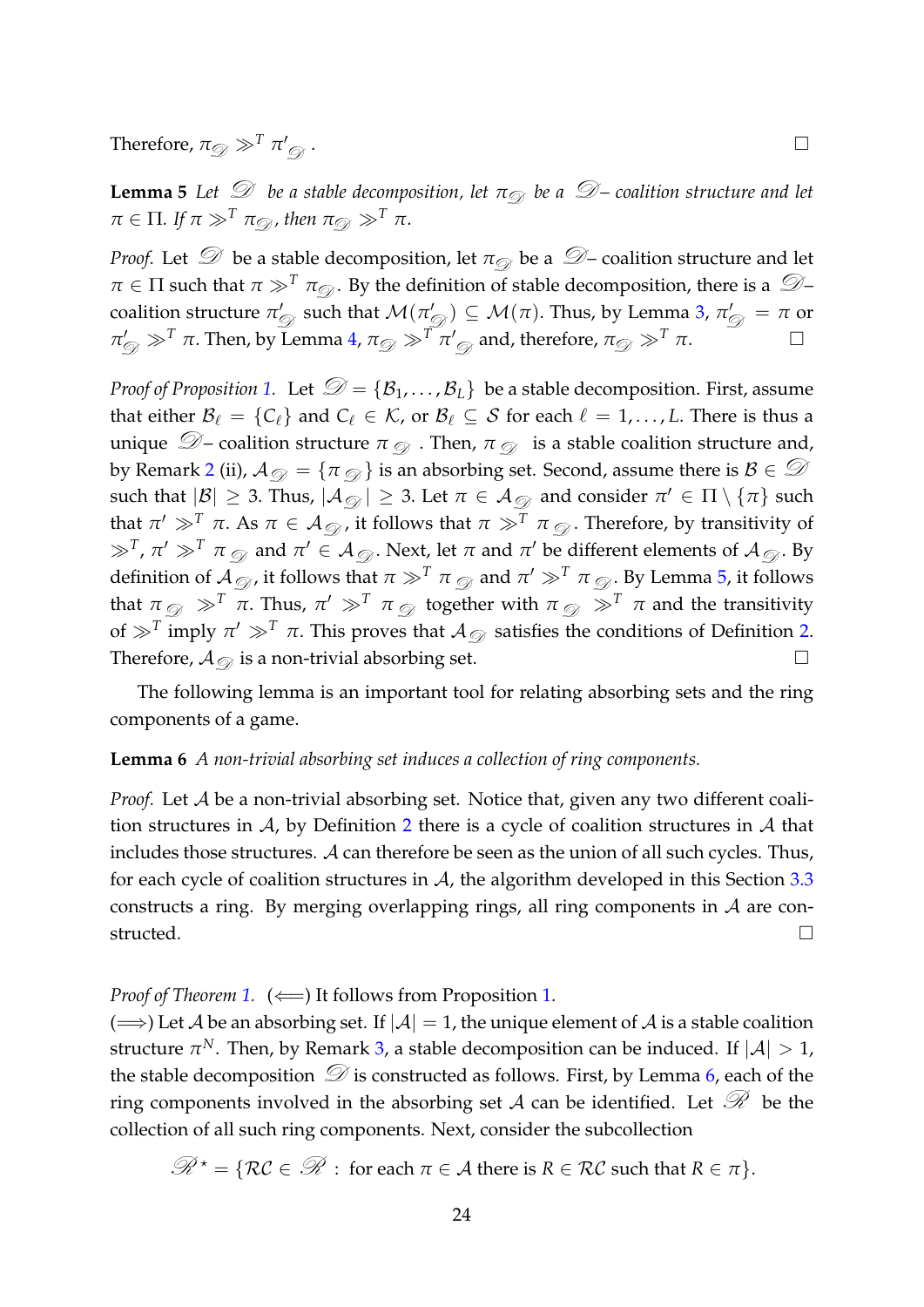Therefore,  $\pi_{\mathcal{D}} \gg^T \pi'_{\mathcal{D}}$ 

<span id="page-25-0"></span>**Lemma 5** *Let*  $\mathcal{D}$  *be a stable decomposition, let*  $\pi_{\mathcal{D}}$  *be a*  $\mathcal{D}$  *– coalition structure and let*  $\pi \in \Pi$ *.* If  $\pi \gg^T \pi_{\mathcal{D}}$ *, then*  $\pi_{\mathcal{D}} \gg^T \pi$ *.* 

*Proof.* Let  $\mathcal D$  be a stable decomposition, let  $\pi_{\mathcal D}$  be a  $\mathcal D$  – coalition structure and let  $\pi \in \Pi$  such that  $\pi \gg^T \pi_{\mathcal{D}}$ . By the definition of stable decomposition, there is a  $\mathcal{D}$ coalition structure  $\pi'_{\mathscr{D}}$  such that  $\mathcal{M}(\pi'_{\mathscr{D}})\subseteq \mathcal{M}(\pi).$  Thus, by Lemma [3,](#page-22-1)  $\pi'_{\mathscr{D}}=\pi$  or  $\pi'_{\mathcal{D}} \gg^T \pi$ . Then, by Lemma [4,](#page-24-0)  $\pi_{\mathcal{D}} \gg^T \pi'_{\mathcal{D}}$  and, therefore,  $\pi_{\mathcal{D}} \gg^T \pi$ .  $\qquad \Box$ 

*Proof of Proposition* [1.](#page-13-1) Let  $\mathcal{D} = {\mathcal{B}_1, \ldots, \mathcal{B}_L}$  be a stable decomposition. First, assume that either  $\mathcal{B}_{\ell} = \{C_{\ell}\}\$  and  $C_{\ell} \in \mathcal{K}$ , or  $\mathcal{B}_{\ell} \subseteq \mathcal{S}$  for each  $\ell = 1, \ldots, L$ . There is thus a unique  $\mathcal{D}$  – coalition structure  $\pi_{\mathcal{D}}$ . Then,  $\pi_{\mathcal{D}}$  is a stable coalition structure and, by Remark [2](#page-9-1) (ii),  $\mathcal{A}_{\mathcal{D}} = {\pi \mathcal{D}}$  is an absorbing set. Second, assume there is  $\mathcal{B} \in \mathcal{D}$ such that  $|\mathcal{B}|\geq 3$ . Thus,  $|\mathcal{A}_{\mathcal{D}}|\geq 3$ . Let  $\pi\in\mathcal{A}_{\mathcal{D}}$  and consider  $\pi'\in\Pi\setminus\{\pi\}$  such that  $\pi' \gg^T \pi$ . As  $\pi \in \mathcal{A}_{\mathcal{D}}$ , it follows that  $\pi \gg^T \pi_{\mathcal{D}}$ . Therefore, by transitivity of  $\gg^T$ ,  $\pi' \gg^T \pi$   $_\mathscr{D}$  and  $\pi' \in \mathcal{A}_\mathscr{D}$ . Next, let  $\pi$  and  $\pi'$  be different elements of  $\mathcal{A}_\mathscr{D}$ . By definition of  ${\cal A}_\mathscr{D}$  , it follows that  $\pi\gg^T\pi_\mathscr{D}$  and  $\pi'\gg^T\pi_\mathscr{D}$  . By Lemma [5,](#page-25-0) it follows that  $\pi_{\mathcal{D}} \gg^T \pi$ . Thus,  $\pi' \gg^T \pi_{\mathcal{D}}$  together with  $\pi_{\mathcal{D}} \gg^T \pi$  and the transitivity of  $\gg^T$  imply  $\pi' \gg^T \pi$ . This proves that  $\mathcal{A}_{\mathcal{D}}$  satisfies the conditions of Definition [2.](#page-9-2) Therefore,  $A_{\mathcal{Q}}$  is a non-trivial absorbing set.  $\Box$ 

The following lemma is an important tool for relating absorbing sets and the ring components of a game.

#### <span id="page-25-1"></span>**Lemma 6** *A non-trivial absorbing set induces a collection of ring components.*

*Proof.* Let A be a non-trivial absorbing set. Notice that, given any two different coalition structures in  $A$ , by Definition [2](#page-9-2) there is a cycle of coalition structures in  $A$  that includes those structures. A can therefore be seen as the union of all such cycles. Thus, for each cycle of coalition structures in  $A$ , the algorithm developed in this Section [3.3](#page-16-1) constructs a ring. By merging overlapping rings, all ring components in  $A$  are constructed.  $□$ 

*Proof of Theorem [1.](#page-13-1)* ( $\Longleftarrow$ ) It follows from Proposition 1.

( $\implies$ ) Let A be an absorbing set. If  $|A| = 1$ , the unique element of A is a stable coalition structure  $\pi^N$ . Then, by Remark [3,](#page-13-0) a stable decomposition can be induced. If  $|\mathcal{A}| > 1$ , the stable decomposition  $\mathcal D$  is constructed as follows. First, by Lemma [6,](#page-25-1) each of the ring components involved in the absorbing set A can be identified. Let  $\mathcal{R}$  be the collection of all such ring components. Next, consider the subcollection

$$
\mathcal{R}^{\star} = \{ \mathcal{RC} \in \mathcal{R} : \text{ for each } \pi \in \mathcal{A} \text{ there is } R \in \mathcal{RC} \text{ such that } R \in \pi \}.
$$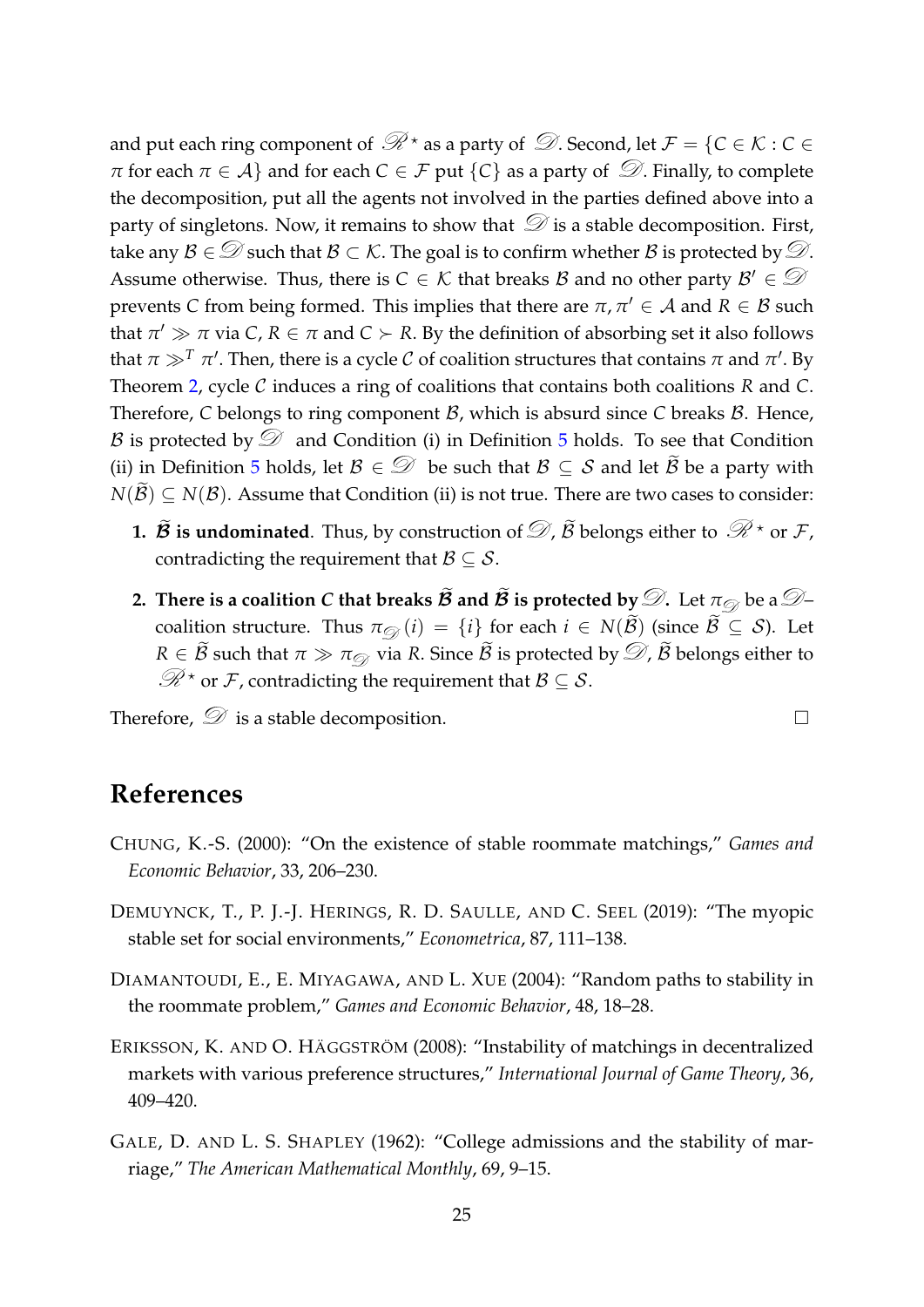and put each ring component of  $\mathcal{R}^{\star}$  as a party of  $\mathcal{D}$ . Second, let  $\mathcal{F} = \{C \in \mathcal{K} : C \in \mathcal{C}\}$ *π* for each  $\pi \in A$ } and for each  $C \in \mathcal{F}$  put  $\{C\}$  as a party of  $\mathcal{D}$ . Finally, to complete the decomposition, put all the agents not involved in the parties defined above into a party of singletons. Now, it remains to show that  $\mathcal D$  is a stable decomposition. First, take any  $\mathcal{B} \in \mathcal{D}$  such that  $\mathcal{B} \subset \mathcal{K}$ . The goal is to confirm whether  $\mathcal{B}$  is protected by  $\mathcal{D}$ . Assume otherwise. Thus, there is  $C \in \mathcal{K}$  that breaks B and no other party  $\mathcal{B}' \in \mathcal{D}$ prevents *C* from being formed. This implies that there are  $\pi, \pi' \in A$  and  $R \in B$  such that  $\pi' \gg \pi$  via  $C$ ,  $R \in \pi$  and  $C \succ R$ . By the definition of absorbing set it also follows that  $\pi \gg^T \pi'$ . Then, there is a cycle  $\mathcal C$  of coalition structures that contains  $\pi$  and  $\pi'$ . By Theorem [2,](#page-17-0) cycle C induces a ring of coalitions that contains both coalitions *R* and *C*. Therefore, *C* belongs to ring component *B*, which is absurd since *C* breaks *B*. Hence, B is protected by  $\mathcal D$  and Condition (i) in Definition [5](#page-12-2) holds. To see that Condition (ii) in Definition [5](#page-12-2) holds, let  $\mathcal{B} \in \mathcal{D}$  be such that  $\mathcal{B} \subset \mathcal{S}$  and let  $\widetilde{\mathcal{B}}$  be a party with  $N(\tilde{\mathcal{B}}) \subseteq N(\mathcal{B})$ . Assume that Condition (ii) is not true. There are two cases to consider:

- **1.**  $\widetilde{B}$  is undominated. Thus, by construction of  $\mathcal{D}$ ,  $\widetilde{B}$  belongs either to  $\mathcal{R}$  \* or  $\mathcal{F}$ , contradicting the requirement that  $\mathcal{B} \subseteq \mathcal{S}$ .
- **2.** There is a coalition *C* that breaks  $\widetilde{\mathcal{B}}$  and  $\widetilde{\mathcal{B}}$  is protected by  $\mathcal{D}$ . Let  $\pi_{\mathcal{D}}$  be a  $\mathcal{D}$ coalition structure. Thus  $\pi_{\mathcal{D}}(i) = \{i\}$  for each  $i \in N(\widetilde{\mathcal{B}})$  (since  $\widetilde{\mathcal{B}} \subseteq \mathcal{S}$ ). Let *R*  $\in \widetilde{\mathcal{B}}$  such that  $\pi \gg \pi_{\mathcal{D}}$  via *R*. Since  $\widetilde{\mathcal{B}}$  is protected by  $\mathcal{D}$ ,  $\widetilde{\mathcal{B}}$  belongs either to  $\mathscr{R}$ <sup>\*</sup> or *F*, contradicting the requirement that  $\mathcal{B} \subseteq \mathcal{S}$ .

Therefore,  $\mathcal D$  is a stable decomposition.  $\Box$ 

## **References**

- <span id="page-26-1"></span>CHUNG, K.-S. (2000): "On the existence of stable roommate matchings," *Games and Economic Behavior*, 33, 206–230.
- <span id="page-26-0"></span>DEMUYNCK, T., P. J.-J. HERINGS, R. D. SAULLE, AND C. SEEL (2019): "The myopic stable set for social environments," *Econometrica*, 87, 111–138.
- <span id="page-26-3"></span>DIAMANTOUDI, E., E. MIYAGAWA, AND L. XUE (2004): "Random paths to stability in the roommate problem," *Games and Economic Behavior*, 48, 18–28.
- <span id="page-26-2"></span>ERIKSSON, K. AND O. HÄGGSTRÖM (2008): "Instability of matchings in decentralized markets with various preference structures," *International Journal of Game Theory*, 36, 409–420.
- <span id="page-26-4"></span>GALE, D. AND L. S. SHAPLEY (1962): "College admissions and the stability of marriage," *The American Mathematical Monthly*, 69, 9–15.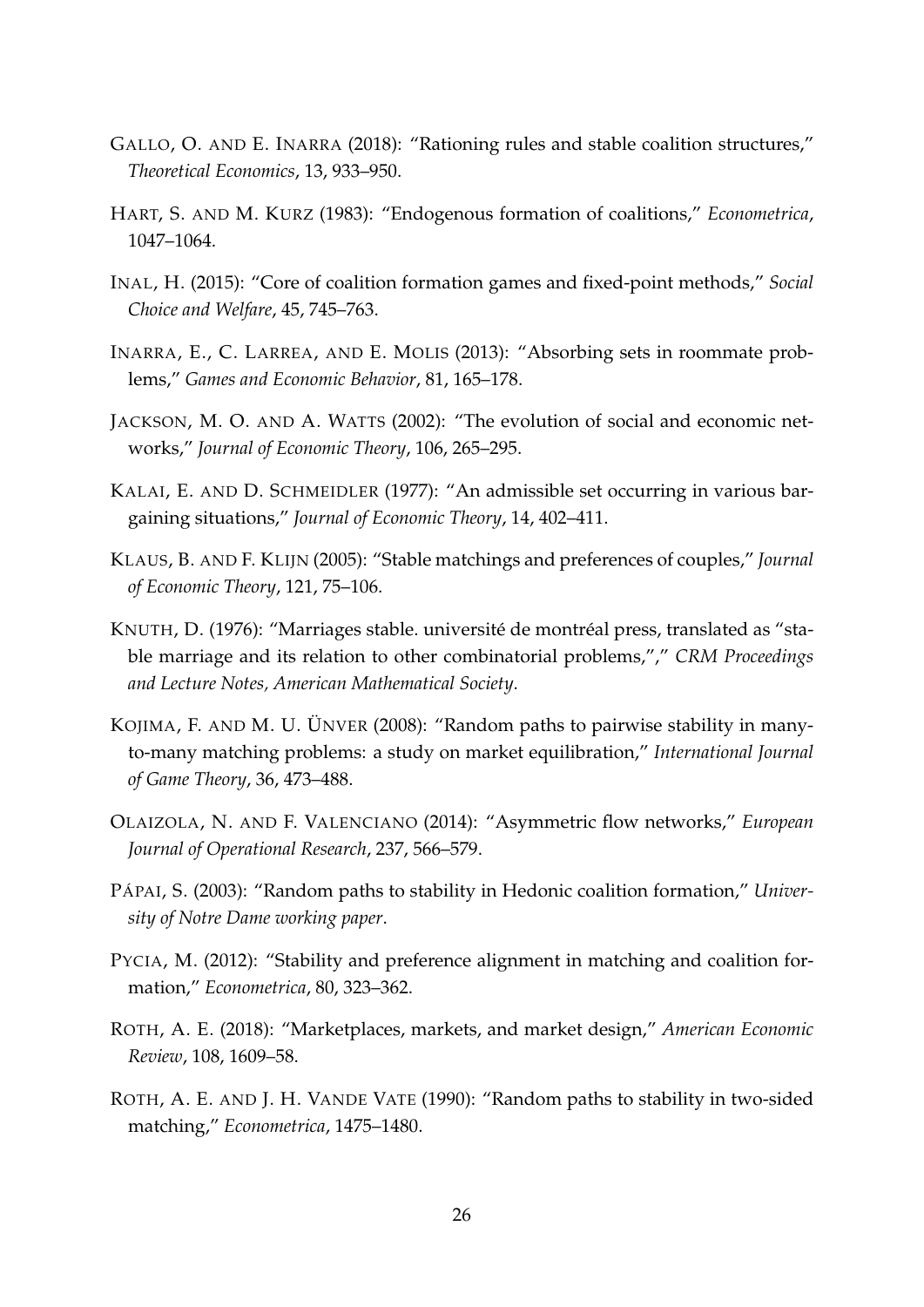- <span id="page-27-13"></span>GALLO, O. AND E. INARRA (2018): "Rationing rules and stable coalition structures," *Theoretical Economics*, 13, 933–950.
- <span id="page-27-10"></span>HART, S. AND M. KURZ (1983): "Endogenous formation of coalitions," *Econometrica*, 1047–1064.
- <span id="page-27-12"></span>INAL, H. (2015): "Core of coalition formation games and fixed-point methods," *Social Choice and Welfare*, 45, 745–763.
- <span id="page-27-1"></span>INARRA, E., C. LARREA, AND E. MOLIS (2013): "Absorbing sets in roommate problems," *Games and Economic Behavior*, 81, 165–178.
- <span id="page-27-2"></span>JACKSON, M. O. AND A. WATTS (2002): "The evolution of social and economic networks," *Journal of Economic Theory*, 106, 265–295.
- <span id="page-27-4"></span>KALAI, E. AND D. SCHMEIDLER (1977): "An admissible set occurring in various bargaining situations," *Journal of Economic Theory*, 14, 402–411.
- <span id="page-27-7"></span>KLAUS, B. AND F. KLIJN (2005): "Stable matchings and preferences of couples," *Journal of Economic Theory*, 121, 75–106.
- <span id="page-27-5"></span>KNUTH, D. (1976): "Marriages stable. université de montréal press, translated as "stable marriage and its relation to other combinatorial problems,"," *CRM Proceedings and Lecture Notes, American Mathematical Society*.
- <span id="page-27-8"></span>KOJIMA, F. AND M. U. ÜNVER (2008): "Random paths to pairwise stability in manyto-many matching problems: a study on market equilibration," *International Journal of Game Theory*, 36, 473–488.
- <span id="page-27-3"></span>OLAIZOLA, N. AND F. VALENCIANO (2014): "Asymmetric flow networks," *European Journal of Operational Research*, 237, 566–579.
- <span id="page-27-9"></span>PÁPAI, S. (2003): "Random paths to stability in Hedonic coalition formation," *University of Notre Dame working paper*.
- <span id="page-27-11"></span>PYCIA, M. (2012): "Stability and preference alignment in matching and coalition formation," *Econometrica*, 80, 323–362.
- <span id="page-27-0"></span>ROTH, A. E. (2018): "Marketplaces, markets, and market design," *American Economic Review*, 108, 1609–58.
- <span id="page-27-6"></span>ROTH, A. E. AND J. H. VANDE VATE (1990): "Random paths to stability in two-sided matching," *Econometrica*, 1475–1480.